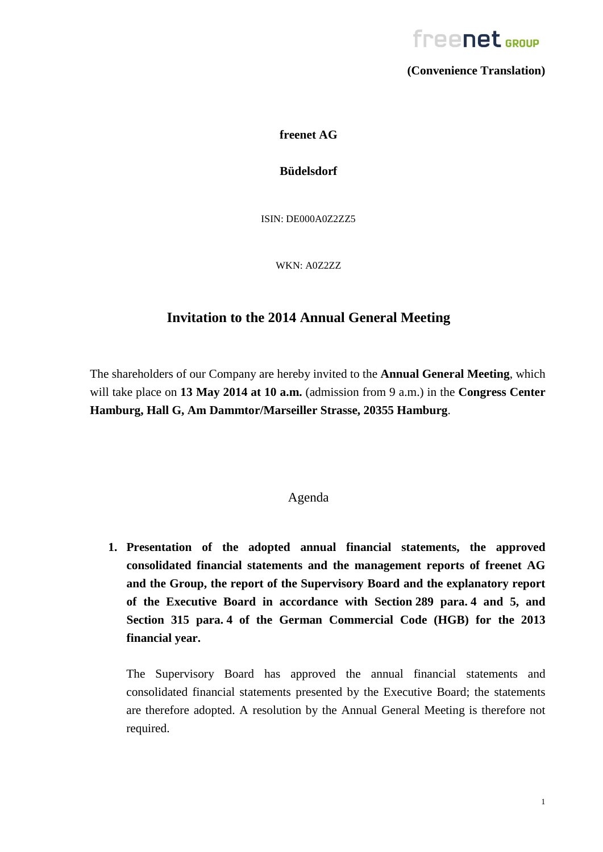

**(Convenience Translation)**

**freenet AG**

**Büdelsdorf**

ISIN: DE000A0Z2ZZ5

WKN: A0Z2ZZ

## **Invitation to the 2014 Annual General Meeting**

The shareholders of our Company are hereby invited to the **Annual General Meeting**, which will take place on **13 May 2014 at 10 a.m.** (admission from 9 a.m.) in the **Congress Center Hamburg, Hall G, Am Dammtor/Marseiller Strasse, 20355 Hamburg**.

### Agenda

**1. Presentation of the adopted annual financial statements, the approved consolidated financial statements and the management reports of freenet AG and the Group, the report of the Supervisory Board and the explanatory report of the Executive Board in accordance with Section 289 para. 4 and 5, and Section 315 para. 4 of the German Commercial Code (HGB) for the 2013 financial year.**

The Supervisory Board has approved the annual financial statements and consolidated financial statements presented by the Executive Board; the statements are therefore adopted. A resolution by the Annual General Meeting is therefore not required.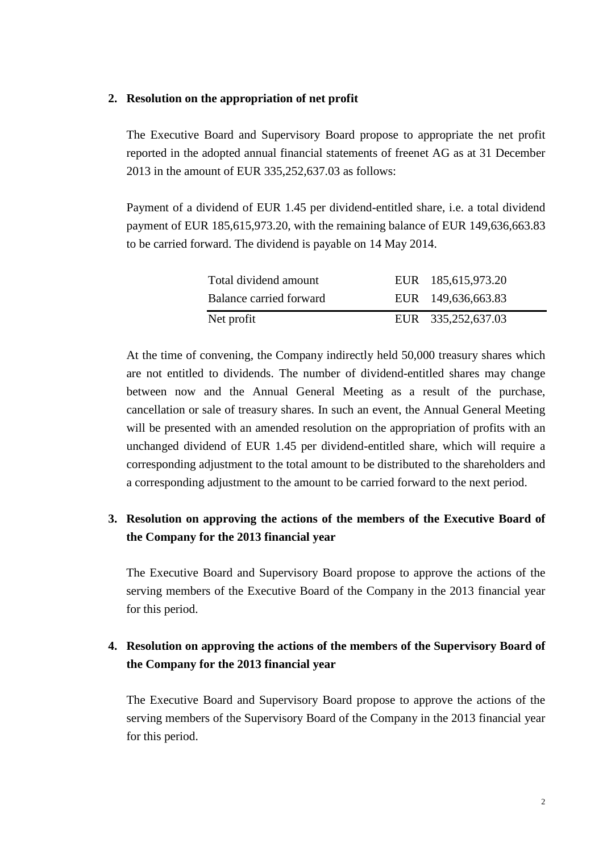#### **2. Resolution on the appropriation of net profit**

The Executive Board and Supervisory Board propose to appropriate the net profit reported in the adopted annual financial statements of freenet AG as at 31 December 2013 in the amount of EUR 335,252,637.03 as follows:

Payment of a dividend of EUR 1.45 per dividend-entitled share, i.e. a total dividend payment of EUR 185,615,973.20, with the remaining balance of EUR 149,636,663.83 to be carried forward. The dividend is payable on 14 May 2014.

| Total dividend amount   | EUR 185,615,973.20 |
|-------------------------|--------------------|
| Balance carried forward | EUR 149,636,663.83 |
| Net profit              | EUR 335,252,637.03 |

At the time of convening, the Company indirectly held 50,000 treasury shares which are not entitled to dividends. The number of dividend-entitled shares may change between now and the Annual General Meeting as a result of the purchase, cancellation or sale of treasury shares. In such an event, the Annual General Meeting will be presented with an amended resolution on the appropriation of profits with an unchanged dividend of EUR 1.45 per dividend-entitled share, which will require a corresponding adjustment to the total amount to be distributed to the shareholders and a corresponding adjustment to the amount to be carried forward to the next period.

## **3. Resolution on approving the actions of the members of the Executive Board of the Company for the 2013 financial year**

The Executive Board and Supervisory Board propose to approve the actions of the serving members of the Executive Board of the Company in the 2013 financial year for this period.

## **4. Resolution on approving the actions of the members of the Supervisory Board of the Company for the 2013 financial year**

The Executive Board and Supervisory Board propose to approve the actions of the serving members of the Supervisory Board of the Company in the 2013 financial year for this period.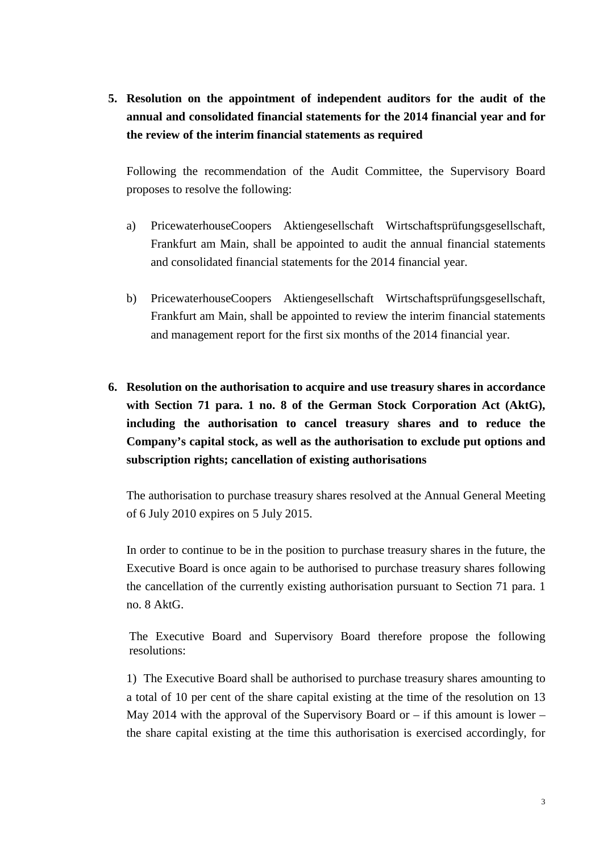**5. Resolution on the appointment of independent auditors for the audit of the annual and consolidated financial statements for the 2014 financial year and for the review of the interim financial statements as required**

Following the recommendation of the Audit Committee, the Supervisory Board proposes to resolve the following:

- a) PricewaterhouseCoopers Aktiengesellschaft Wirtschaftsprüfungsgesellschaft, Frankfurt am Main, shall be appointed to audit the annual financial statements and consolidated financial statements for the 2014 financial year.
- b) PricewaterhouseCoopers Aktiengesellschaft Wirtschaftsprüfungsgesellschaft, Frankfurt am Main, shall be appointed to review the interim financial statements and management report for the first six months of the 2014 financial year.
- **6. Resolution on the authorisation to acquire and use treasury shares in accordance with Section 71 para. 1 no. 8 of the German Stock Corporation Act (AktG), including the authorisation to cancel treasury shares and to reduce the Company's capital stock, as well as the authorisation to exclude put options and subscription rights; cancellation of existing authorisations**

The authorisation to purchase treasury shares resolved at the Annual General Meeting of 6 July 2010 expires on 5 July 2015.

In order to continue to be in the position to purchase treasury shares in the future, the Executive Board is once again to be authorised to purchase treasury shares following the cancellation of the currently existing authorisation pursuant to Section 71 para. 1 no. 8 AktG.

The Executive Board and Supervisory Board therefore propose the following resolutions:

1) The Executive Board shall be authorised to purchase treasury shares amounting to a total of 10 per cent of the share capital existing at the time of the resolution on 13 May 2014 with the approval of the Supervisory Board or  $-$  if this amount is lower  $$ the share capital existing at the time this authorisation is exercised accordingly, for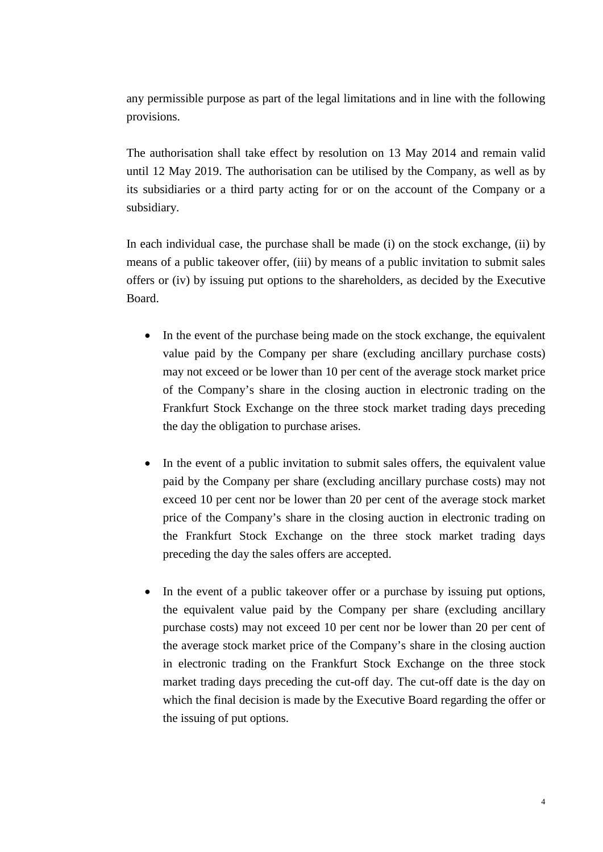any permissible purpose as part of the legal limitations and in line with the following provisions.

The authorisation shall take effect by resolution on 13 May 2014 and remain valid until 12 May 2019. The authorisation can be utilised by the Company, as well as by its subsidiaries or a third party acting for or on the account of the Company or a subsidiary.

In each individual case, the purchase shall be made (i) on the stock exchange, (ii) by means of a public takeover offer, (iii) by means of a public invitation to submit sales offers or (iv) by issuing put options to the shareholders, as decided by the Executive Board.

- In the event of the purchase being made on the stock exchange, the equivalent value paid by the Company per share (excluding ancillary purchase costs) may not exceed or be lower than 10 per cent of the average stock market price of the Company's share in the closing auction in electronic trading on the Frankfurt Stock Exchange on the three stock market trading days preceding the day the obligation to purchase arises.
- In the event of a public invitation to submit sales offers, the equivalent value paid by the Company per share (excluding ancillary purchase costs) may not exceed 10 per cent nor be lower than 20 per cent of the average stock market price of the Company's share in the closing auction in electronic trading on the Frankfurt Stock Exchange on the three stock market trading days preceding the day the sales offers are accepted.
- In the event of a public takeover offer or a purchase by issuing put options, the equivalent value paid by the Company per share (excluding ancillary purchase costs) may not exceed 10 per cent nor be lower than 20 per cent of the average stock market price of the Company's share in the closing auction in electronic trading on the Frankfurt Stock Exchange on the three stock market trading days preceding the cut-off day. The cut-off date is the day on which the final decision is made by the Executive Board regarding the offer or the issuing of put options.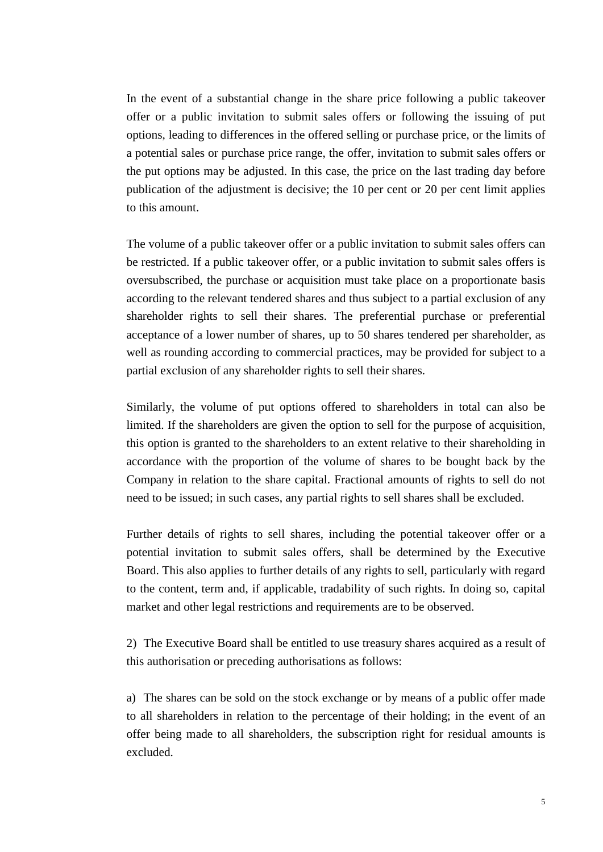In the event of a substantial change in the share price following a public takeover offer or a public invitation to submit sales offers or following the issuing of put options, leading to differences in the offered selling or purchase price, or the limits of a potential sales or purchase price range, the offer, invitation to submit sales offers or the put options may be adjusted. In this case, the price on the last trading day before publication of the adjustment is decisive; the 10 per cent or 20 per cent limit applies to this amount.

The volume of a public takeover offer or a public invitation to submit sales offers can be restricted. If a public takeover offer, or a public invitation to submit sales offers is oversubscribed, the purchase or acquisition must take place on a proportionate basis according to the relevant tendered shares and thus subject to a partial exclusion of any shareholder rights to sell their shares. The preferential purchase or preferential acceptance of a lower number of shares, up to 50 shares tendered per shareholder, as well as rounding according to commercial practices, may be provided for subject to a partial exclusion of any shareholder rights to sell their shares.

Similarly, the volume of put options offered to shareholders in total can also be limited. If the shareholders are given the option to sell for the purpose of acquisition, this option is granted to the shareholders to an extent relative to their shareholding in accordance with the proportion of the volume of shares to be bought back by the Company in relation to the share capital. Fractional amounts of rights to sell do not need to be issued; in such cases, any partial rights to sell shares shall be excluded.

Further details of rights to sell shares, including the potential takeover offer or a potential invitation to submit sales offers, shall be determined by the Executive Board. This also applies to further details of any rights to sell, particularly with regard to the content, term and, if applicable, tradability of such rights. In doing so, capital market and other legal restrictions and requirements are to be observed.

2) The Executive Board shall be entitled to use treasury shares acquired as a result of this authorisation or preceding authorisations as follows:

a) The shares can be sold on the stock exchange or by means of a public offer made to all shareholders in relation to the percentage of their holding; in the event of an offer being made to all shareholders, the subscription right for residual amounts is excluded.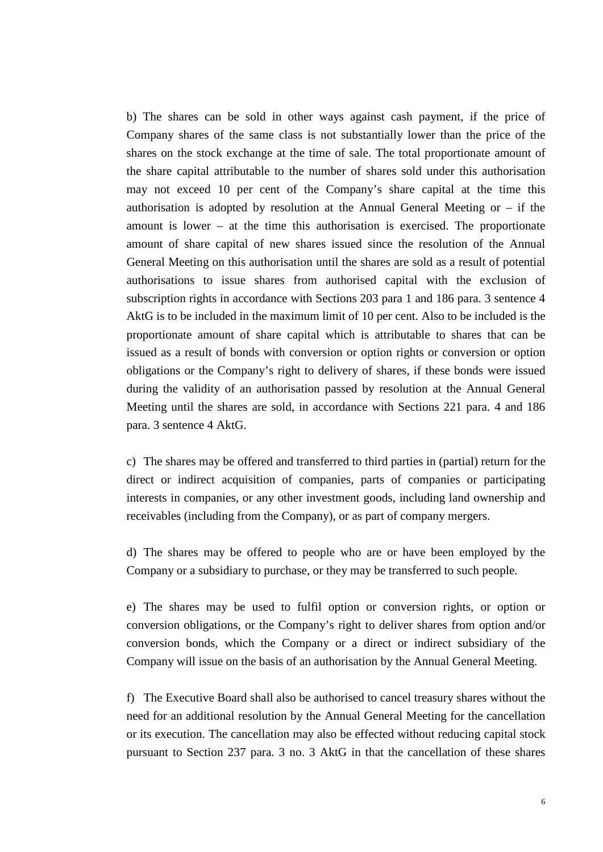b) The shares can be sold in other ways against cash payment, if the price of Company shares of the same class is not substantially lower than the price of the shares on the stock exchange at the time of sale. The total proportionate amount of the share capital attributable to the number of shares sold under this authorisation may not exceed 10 per cent of the Company's share capital at the time this authorisation is adopted by resolution at the Annual General Meeting or – if the amount is lower – at the time this authorisation is exercised. The proportionate amount of share capital of new shares issued since the resolution of the Annual General Meeting on this authorisation until the shares are sold as a result of potential authorisations to issue shares from authorised capital with the exclusion of subscription rights in accordance with Sections 203 para 1 and 186 para. 3 sentence 4 AktG is to be included in the maximum limit of 10 per cent. Also to be included is the proportionate amount of share capital which is attributable to shares that can be issued as a result of bonds with conversion or option rights or conversion or option obligations or the Company's right to delivery of shares, if these bonds were issued during the validity of an authorisation passed by resolution at the Annual General Meeting until the shares are sold, in accordance with Sections 221 para. 4 and 186 para. 3 sentence 4 AktG.

c) The shares may be offered and transferred to third parties in (partial) return for the direct or indirect acquisition of companies, parts of companies or participating interests in companies, or any other investment goods, including land ownership and receivables (including from the Company), or as part of company mergers.

d) The shares may be offered to people who are or have been employed by the Company or a subsidiary to purchase, or they may be transferred to such people.

e) The shares may be used to fulfil option or conversion rights, or option or conversion obligations, or the Company's right to deliver shares from option and/or conversion bonds, which the Company or a direct or indirect subsidiary of the Company will issue on the basis of an authorisation by the Annual General Meeting.

f) The Executive Board shall also be authorised to cancel treasury shares without the need for an additional resolution by the Annual General Meeting for the cancellation or its execution. The cancellation may also be effected without reducing capital stock pursuant to Section 237 para. 3 no. 3 AktG in that the cancellation of these shares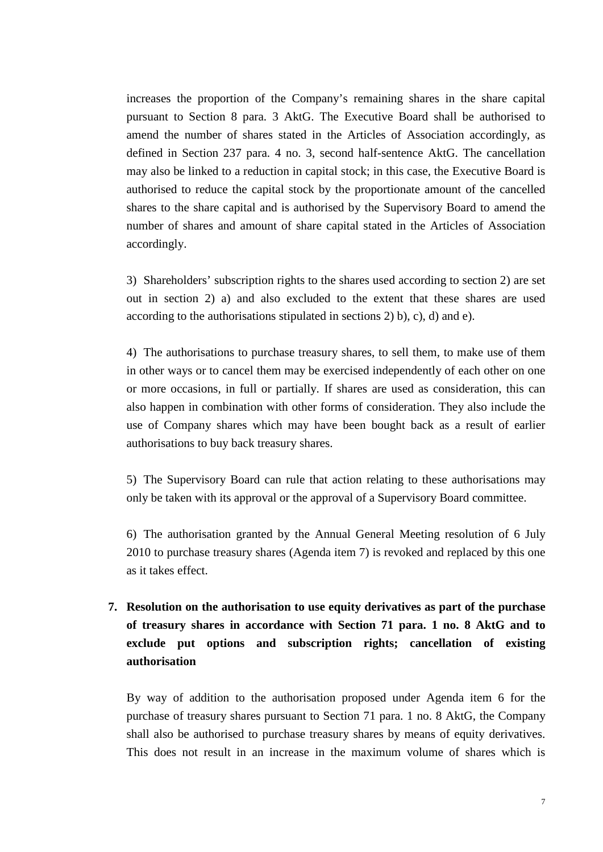increases the proportion of the Company's remaining shares in the share capital pursuant to Section 8 para. 3 AktG. The Executive Board shall be authorised to amend the number of shares stated in the Articles of Association accordingly, as defined in Section 237 para. 4 no. 3, second half-sentence AktG. The cancellation may also be linked to a reduction in capital stock; in this case, the Executive Board is authorised to reduce the capital stock by the proportionate amount of the cancelled shares to the share capital and is authorised by the Supervisory Board to amend the number of shares and amount of share capital stated in the Articles of Association accordingly.

3) Shareholders' subscription rights to the shares used according to section 2) are set out in section 2) a) and also excluded to the extent that these shares are used according to the authorisations stipulated in sections 2) b), c), d) and e).

4) The authorisations to purchase treasury shares, to sell them, to make use of them in other ways or to cancel them may be exercised independently of each other on one or more occasions, in full or partially. If shares are used as consideration, this can also happen in combination with other forms of consideration. They also include the use of Company shares which may have been bought back as a result of earlier authorisations to buy back treasury shares.

5) The Supervisory Board can rule that action relating to these authorisations may only be taken with its approval or the approval of a Supervisory Board committee.

6) The authorisation granted by the Annual General Meeting resolution of 6 July 2010 to purchase treasury shares (Agenda item 7) is revoked and replaced by this one as it takes effect.

**7. Resolution on the authorisation to use equity derivatives as part of the purchase of treasury shares in accordance with Section 71 para. 1 no. 8 AktG and to exclude put options and subscription rights; cancellation of existing authorisation** 

By way of addition to the authorisation proposed under Agenda item 6 for the purchase of treasury shares pursuant to Section 71 para. 1 no. 8 AktG, the Company shall also be authorised to purchase treasury shares by means of equity derivatives. This does not result in an increase in the maximum volume of shares which is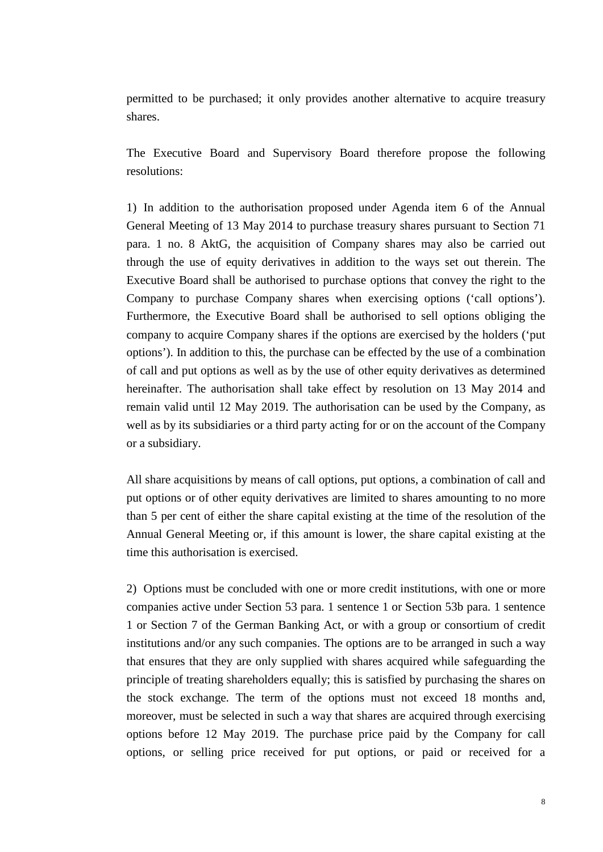permitted to be purchased; it only provides another alternative to acquire treasury shares.

The Executive Board and Supervisory Board therefore propose the following resolutions:

1) In addition to the authorisation proposed under Agenda item 6 of the Annual General Meeting of 13 May 2014 to purchase treasury shares pursuant to Section 71 para. 1 no. 8 AktG, the acquisition of Company shares may also be carried out through the use of equity derivatives in addition to the ways set out therein. The Executive Board shall be authorised to purchase options that convey the right to the Company to purchase Company shares when exercising options ('call options'). Furthermore, the Executive Board shall be authorised to sell options obliging the company to acquire Company shares if the options are exercised by the holders ('put options'). In addition to this, the purchase can be effected by the use of a combination of call and put options as well as by the use of other equity derivatives as determined hereinafter. The authorisation shall take effect by resolution on 13 May 2014 and remain valid until 12 May 2019. The authorisation can be used by the Company, as well as by its subsidiaries or a third party acting for or on the account of the Company or a subsidiary.

All share acquisitions by means of call options, put options, a combination of call and put options or of other equity derivatives are limited to shares amounting to no more than 5 per cent of either the share capital existing at the time of the resolution of the Annual General Meeting or, if this amount is lower, the share capital existing at the time this authorisation is exercised.

2) Options must be concluded with one or more credit institutions, with one or more companies active under Section 53 para. 1 sentence 1 or Section 53b para. 1 sentence 1 or Section 7 of the German Banking Act, or with a group or consortium of credit institutions and/or any such companies. The options are to be arranged in such a way that ensures that they are only supplied with shares acquired while safeguarding the principle of treating shareholders equally; this is satisfied by purchasing the shares on the stock exchange. The term of the options must not exceed 18 months and, moreover, must be selected in such a way that shares are acquired through exercising options before 12 May 2019. The purchase price paid by the Company for call options, or selling price received for put options, or paid or received for a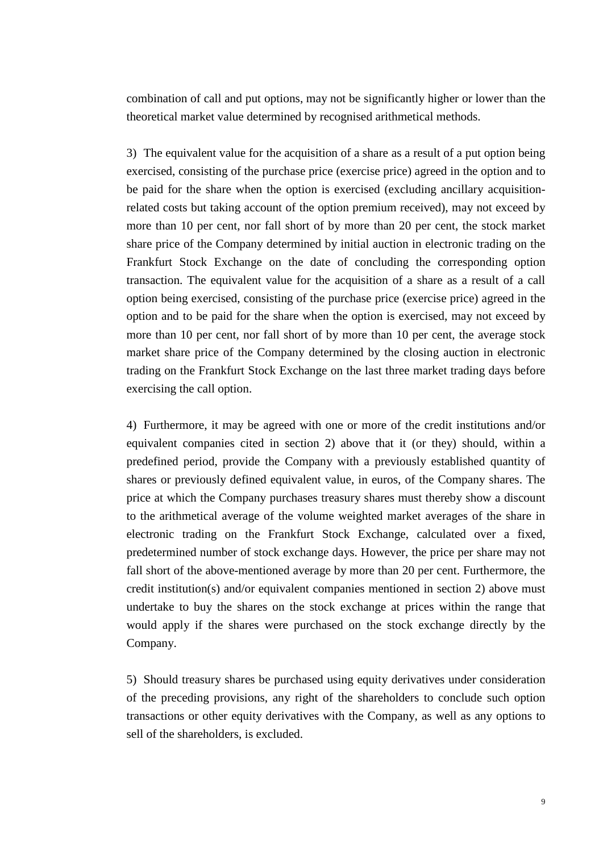combination of call and put options, may not be significantly higher or lower than the theoretical market value determined by recognised arithmetical methods.

3) The equivalent value for the acquisition of a share as a result of a put option being exercised, consisting of the purchase price (exercise price) agreed in the option and to be paid for the share when the option is exercised (excluding ancillary acquisitionrelated costs but taking account of the option premium received), may not exceed by more than 10 per cent, nor fall short of by more than 20 per cent, the stock market share price of the Company determined by initial auction in electronic trading on the Frankfurt Stock Exchange on the date of concluding the corresponding option transaction. The equivalent value for the acquisition of a share as a result of a call option being exercised, consisting of the purchase price (exercise price) agreed in the option and to be paid for the share when the option is exercised, may not exceed by more than 10 per cent, nor fall short of by more than 10 per cent, the average stock market share price of the Company determined by the closing auction in electronic trading on the Frankfurt Stock Exchange on the last three market trading days before exercising the call option.

4) Furthermore, it may be agreed with one or more of the credit institutions and/or equivalent companies cited in section 2) above that it (or they) should, within a predefined period, provide the Company with a previously established quantity of shares or previously defined equivalent value, in euros, of the Company shares. The price at which the Company purchases treasury shares must thereby show a discount to the arithmetical average of the volume weighted market averages of the share in electronic trading on the Frankfurt Stock Exchange, calculated over a fixed, predetermined number of stock exchange days. However, the price per share may not fall short of the above-mentioned average by more than 20 per cent. Furthermore, the credit institution(s) and/or equivalent companies mentioned in section 2) above must undertake to buy the shares on the stock exchange at prices within the range that would apply if the shares were purchased on the stock exchange directly by the Company.

5) Should treasury shares be purchased using equity derivatives under consideration of the preceding provisions, any right of the shareholders to conclude such option transactions or other equity derivatives with the Company, as well as any options to sell of the shareholders, is excluded.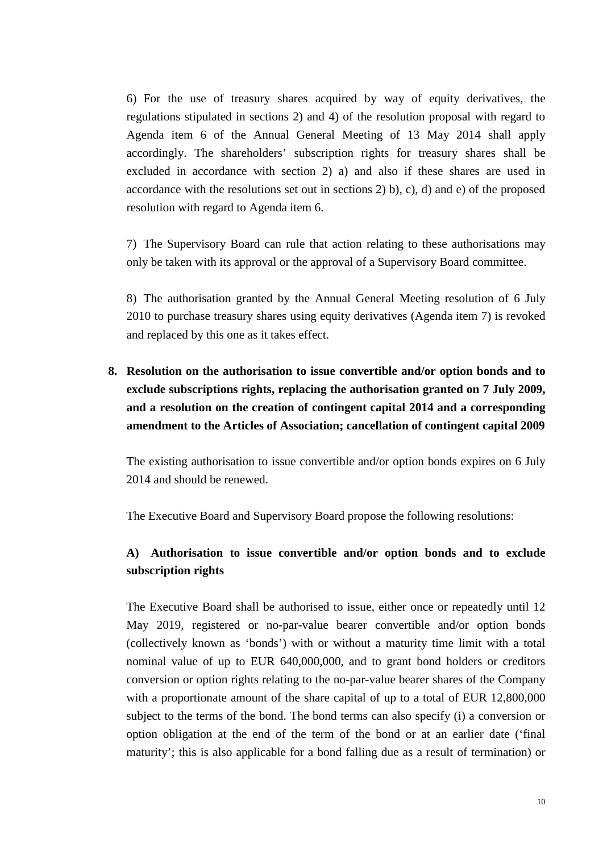6) For the use of treasury shares acquired by way of equity derivatives, the regulations stipulated in sections 2) and 4) of the resolution proposal with regard to Agenda item 6 of the Annual General Meeting of 13 May 2014 shall apply accordingly. The shareholders' subscription rights for treasury shares shall be excluded in accordance with section 2) a) and also if these shares are used in accordance with the resolutions set out in sections 2) b), c), d) and e) of the proposed resolution with regard to Agenda item 6.

7) The Supervisory Board can rule that action relating to these authorisations may only be taken with its approval or the approval of a Supervisory Board committee.

8) The authorisation granted by the Annual General Meeting resolution of 6 July 2010 to purchase treasury shares using equity derivatives (Agenda item 7) is revoked and replaced by this one as it takes effect.

**8. Resolution on the authorisation to issue convertible and/or option bonds and to exclude subscriptions rights, replacing the authorisation granted on 7 July 2009, and a resolution on the creation of contingent capital 2014 and a corresponding amendment to the Articles of Association; cancellation of contingent capital 2009**

The existing authorisation to issue convertible and/or option bonds expires on 6 July 2014 and should be renewed.

The Executive Board and Supervisory Board propose the following resolutions:

## **A) Authorisation to issue convertible and/or option bonds and to exclude subscription rights**

The Executive Board shall be authorised to issue, either once or repeatedly until 12 May 2019, registered or no-par-value bearer convertible and/or option bonds (collectively known as 'bonds') with or without a maturity time limit with a total nominal value of up to EUR 640,000,000, and to grant bond holders or creditors conversion or option rights relating to the no-par-value bearer shares of the Company with a proportionate amount of the share capital of up to a total of EUR 12,800,000 subject to the terms of the bond. The bond terms can also specify (i) a conversion or option obligation at the end of the term of the bond or at an earlier date ('final maturity'; this is also applicable for a bond falling due as a result of termination) or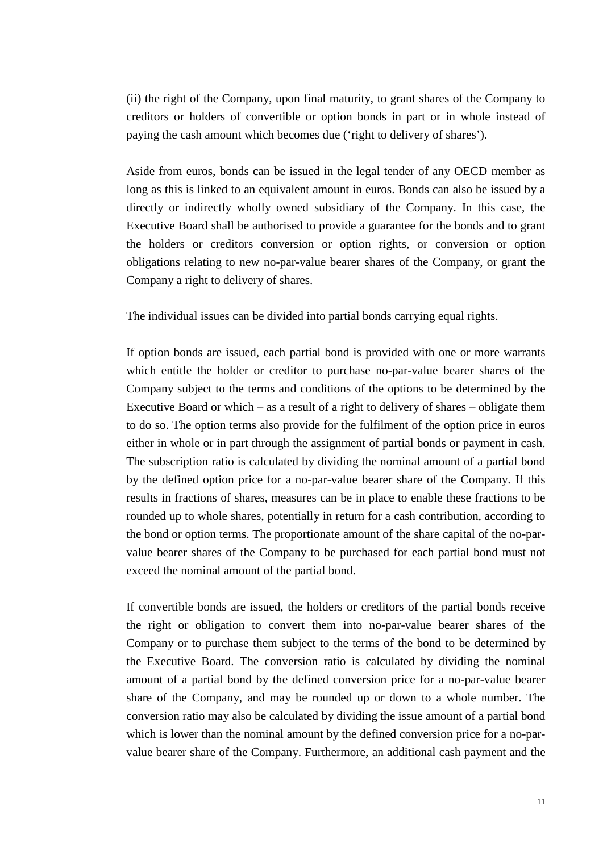(ii) the right of the Company, upon final maturity, to grant shares of the Company to creditors or holders of convertible or option bonds in part or in whole instead of paying the cash amount which becomes due ('right to delivery of shares').

Aside from euros, bonds can be issued in the legal tender of any OECD member as long as this is linked to an equivalent amount in euros. Bonds can also be issued by a directly or indirectly wholly owned subsidiary of the Company. In this case, the Executive Board shall be authorised to provide a guarantee for the bonds and to grant the holders or creditors conversion or option rights, or conversion or option obligations relating to new no-par-value bearer shares of the Company, or grant the Company a right to delivery of shares.

The individual issues can be divided into partial bonds carrying equal rights.

If option bonds are issued, each partial bond is provided with one or more warrants which entitle the holder or creditor to purchase no-par-value bearer shares of the Company subject to the terms and conditions of the options to be determined by the Executive Board or which – as a result of a right to delivery of shares – obligate them to do so. The option terms also provide for the fulfilment of the option price in euros either in whole or in part through the assignment of partial bonds or payment in cash. The subscription ratio is calculated by dividing the nominal amount of a partial bond by the defined option price for a no-par-value bearer share of the Company. If this results in fractions of shares, measures can be in place to enable these fractions to be rounded up to whole shares, potentially in return for a cash contribution, according to the bond or option terms. The proportionate amount of the share capital of the no-parvalue bearer shares of the Company to be purchased for each partial bond must not exceed the nominal amount of the partial bond.

If convertible bonds are issued, the holders or creditors of the partial bonds receive the right or obligation to convert them into no-par-value bearer shares of the Company or to purchase them subject to the terms of the bond to be determined by the Executive Board. The conversion ratio is calculated by dividing the nominal amount of a partial bond by the defined conversion price for a no-par-value bearer share of the Company, and may be rounded up or down to a whole number. The conversion ratio may also be calculated by dividing the issue amount of a partial bond which is lower than the nominal amount by the defined conversion price for a no-parvalue bearer share of the Company. Furthermore, an additional cash payment and the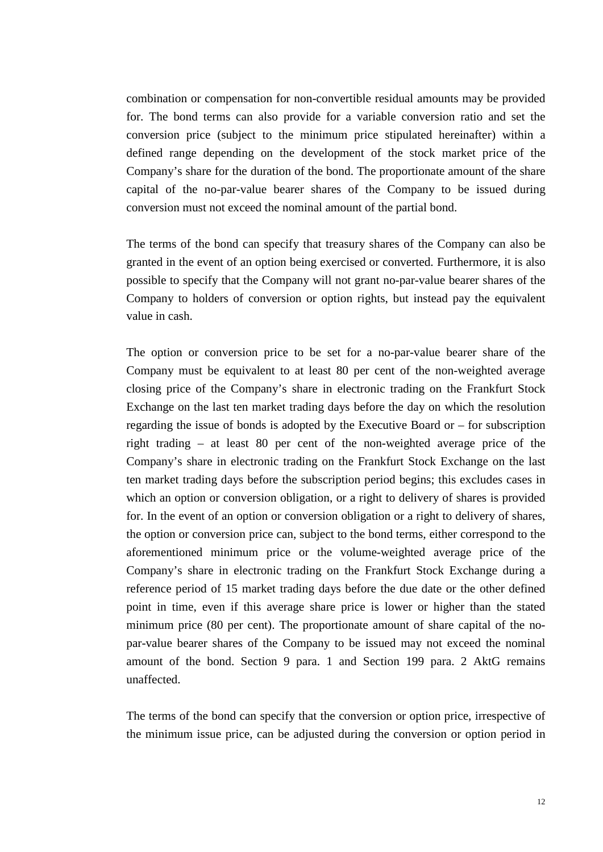combination or compensation for non-convertible residual amounts may be provided for. The bond terms can also provide for a variable conversion ratio and set the conversion price (subject to the minimum price stipulated hereinafter) within a defined range depending on the development of the stock market price of the Company's share for the duration of the bond. The proportionate amount of the share capital of the no-par-value bearer shares of the Company to be issued during conversion must not exceed the nominal amount of the partial bond.

The terms of the bond can specify that treasury shares of the Company can also be granted in the event of an option being exercised or converted. Furthermore, it is also possible to specify that the Company will not grant no-par-value bearer shares of the Company to holders of conversion or option rights, but instead pay the equivalent value in cash.

The option or conversion price to be set for a no-par-value bearer share of the Company must be equivalent to at least 80 per cent of the non-weighted average closing price of the Company's share in electronic trading on the Frankfurt Stock Exchange on the last ten market trading days before the day on which the resolution regarding the issue of bonds is adopted by the Executive Board or – for subscription right trading – at least 80 per cent of the non-weighted average price of the Company's share in electronic trading on the Frankfurt Stock Exchange on the last ten market trading days before the subscription period begins; this excludes cases in which an option or conversion obligation, or a right to delivery of shares is provided for. In the event of an option or conversion obligation or a right to delivery of shares, the option or conversion price can, subject to the bond terms, either correspond to the aforementioned minimum price or the volume-weighted average price of the Company's share in electronic trading on the Frankfurt Stock Exchange during a reference period of 15 market trading days before the due date or the other defined point in time, even if this average share price is lower or higher than the stated minimum price (80 per cent). The proportionate amount of share capital of the nopar-value bearer shares of the Company to be issued may not exceed the nominal amount of the bond. Section 9 para. 1 and Section 199 para. 2 AktG remains unaffected.

The terms of the bond can specify that the conversion or option price, irrespective of the minimum issue price, can be adjusted during the conversion or option period in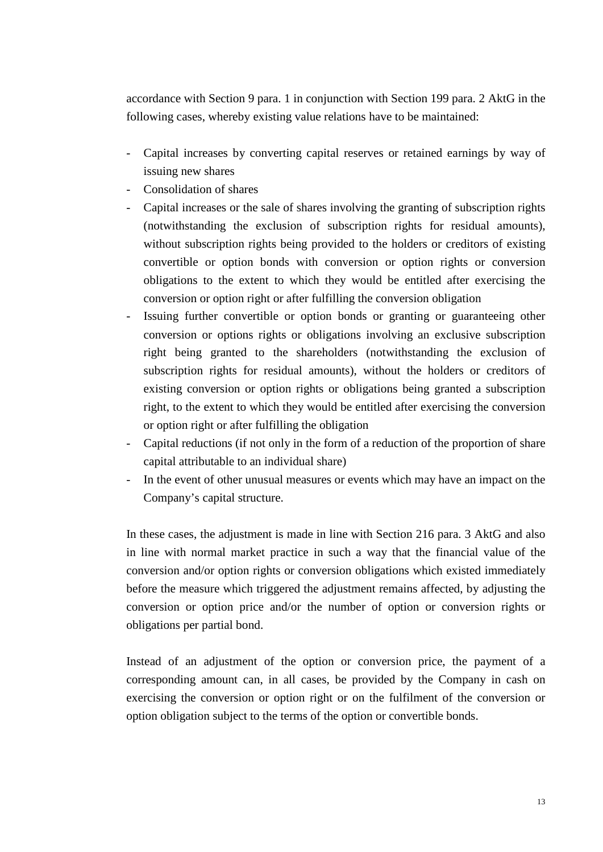accordance with Section 9 para. 1 in conjunction with Section 199 para. 2 AktG in the following cases, whereby existing value relations have to be maintained:

- Capital increases by converting capital reserves or retained earnings by way of issuing new shares
- Consolidation of shares
- Capital increases or the sale of shares involving the granting of subscription rights (notwithstanding the exclusion of subscription rights for residual amounts), without subscription rights being provided to the holders or creditors of existing convertible or option bonds with conversion or option rights or conversion obligations to the extent to which they would be entitled after exercising the conversion or option right or after fulfilling the conversion obligation
- Issuing further convertible or option bonds or granting or guaranteeing other conversion or options rights or obligations involving an exclusive subscription right being granted to the shareholders (notwithstanding the exclusion of subscription rights for residual amounts), without the holders or creditors of existing conversion or option rights or obligations being granted a subscription right, to the extent to which they would be entitled after exercising the conversion or option right or after fulfilling the obligation
- Capital reductions (if not only in the form of a reduction of the proportion of share capital attributable to an individual share)
- In the event of other unusual measures or events which may have an impact on the Company's capital structure.

In these cases, the adjustment is made in line with Section 216 para. 3 AktG and also in line with normal market practice in such a way that the financial value of the conversion and/or option rights or conversion obligations which existed immediately before the measure which triggered the adjustment remains affected, by adjusting the conversion or option price and/or the number of option or conversion rights or obligations per partial bond.

Instead of an adjustment of the option or conversion price, the payment of a corresponding amount can, in all cases, be provided by the Company in cash on exercising the conversion or option right or on the fulfilment of the conversion or option obligation subject to the terms of the option or convertible bonds.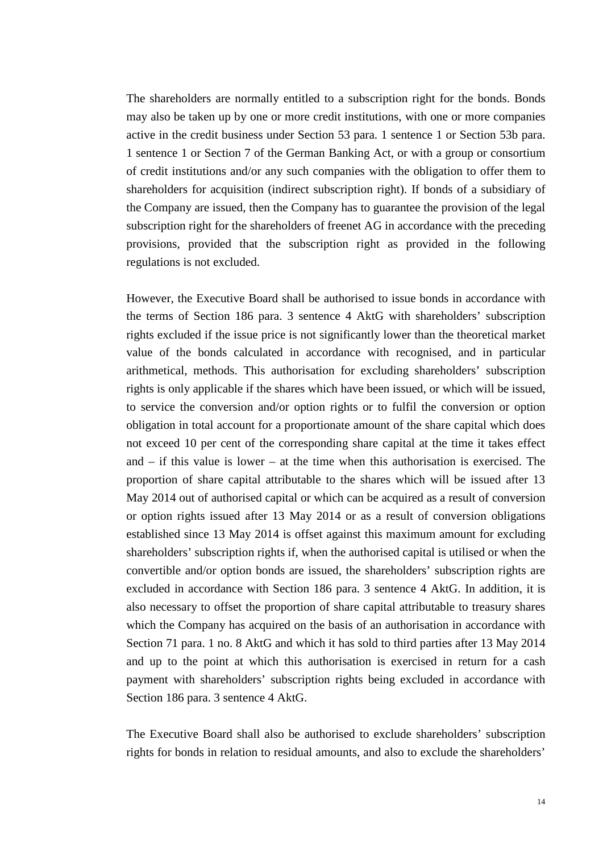The shareholders are normally entitled to a subscription right for the bonds. Bonds may also be taken up by one or more credit institutions, with one or more companies active in the credit business under Section 53 para. 1 sentence 1 or Section 53b para. 1 sentence 1 or Section 7 of the German Banking Act, or with a group or consortium of credit institutions and/or any such companies with the obligation to offer them to shareholders for acquisition (indirect subscription right). If bonds of a subsidiary of the Company are issued, then the Company has to guarantee the provision of the legal subscription right for the shareholders of freenet AG in accordance with the preceding provisions, provided that the subscription right as provided in the following regulations is not excluded.

However, the Executive Board shall be authorised to issue bonds in accordance with the terms of Section 186 para. 3 sentence 4 AktG with shareholders' subscription rights excluded if the issue price is not significantly lower than the theoretical market value of the bonds calculated in accordance with recognised, and in particular arithmetical, methods. This authorisation for excluding shareholders' subscription rights is only applicable if the shares which have been issued, or which will be issued, to service the conversion and/or option rights or to fulfil the conversion or option obligation in total account for a proportionate amount of the share capital which does not exceed 10 per cent of the corresponding share capital at the time it takes effect and – if this value is lower – at the time when this authorisation is exercised. The proportion of share capital attributable to the shares which will be issued after 13 May 2014 out of authorised capital or which can be acquired as a result of conversion or option rights issued after 13 May 2014 or as a result of conversion obligations established since 13 May 2014 is offset against this maximum amount for excluding shareholders' subscription rights if, when the authorised capital is utilised or when the convertible and/or option bonds are issued, the shareholders' subscription rights are excluded in accordance with Section 186 para. 3 sentence 4 AktG. In addition, it is also necessary to offset the proportion of share capital attributable to treasury shares which the Company has acquired on the basis of an authorisation in accordance with Section 71 para. 1 no. 8 AktG and which it has sold to third parties after 13 May 2014 and up to the point at which this authorisation is exercised in return for a cash payment with shareholders' subscription rights being excluded in accordance with Section 186 para. 3 sentence 4 AktG.

The Executive Board shall also be authorised to exclude shareholders' subscription rights for bonds in relation to residual amounts, and also to exclude the shareholders'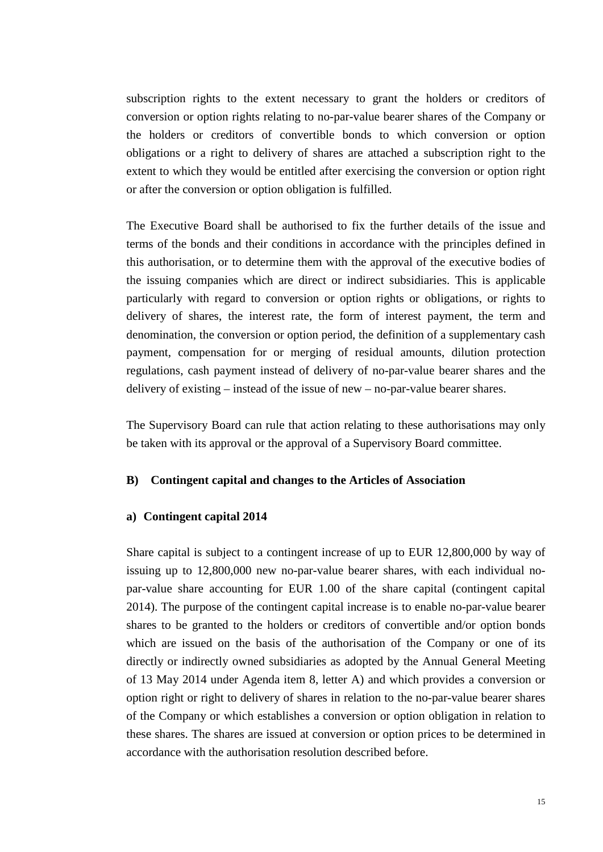subscription rights to the extent necessary to grant the holders or creditors of conversion or option rights relating to no-par-value bearer shares of the Company or the holders or creditors of convertible bonds to which conversion or option obligations or a right to delivery of shares are attached a subscription right to the extent to which they would be entitled after exercising the conversion or option right or after the conversion or option obligation is fulfilled.

The Executive Board shall be authorised to fix the further details of the issue and terms of the bonds and their conditions in accordance with the principles defined in this authorisation, or to determine them with the approval of the executive bodies of the issuing companies which are direct or indirect subsidiaries. This is applicable particularly with regard to conversion or option rights or obligations, or rights to delivery of shares, the interest rate, the form of interest payment, the term and denomination, the conversion or option period, the definition of a supplementary cash payment, compensation for or merging of residual amounts, dilution protection regulations, cash payment instead of delivery of no-par-value bearer shares and the delivery of existing – instead of the issue of new – no-par-value bearer shares.

The Supervisory Board can rule that action relating to these authorisations may only be taken with its approval or the approval of a Supervisory Board committee.

#### **B) Contingent capital and changes to the Articles of Association**

#### **a) Contingent capital 2014**

Share capital is subject to a contingent increase of up to EUR 12,800,000 by way of issuing up to 12,800,000 new no-par-value bearer shares, with each individual nopar-value share accounting for EUR 1.00 of the share capital (contingent capital 2014). The purpose of the contingent capital increase is to enable no-par-value bearer shares to be granted to the holders or creditors of convertible and/or option bonds which are issued on the basis of the authorisation of the Company or one of its directly or indirectly owned subsidiaries as adopted by the Annual General Meeting of 13 May 2014 under Agenda item 8, letter A) and which provides a conversion or option right or right to delivery of shares in relation to the no-par-value bearer shares of the Company or which establishes a conversion or option obligation in relation to these shares. The shares are issued at conversion or option prices to be determined in accordance with the authorisation resolution described before.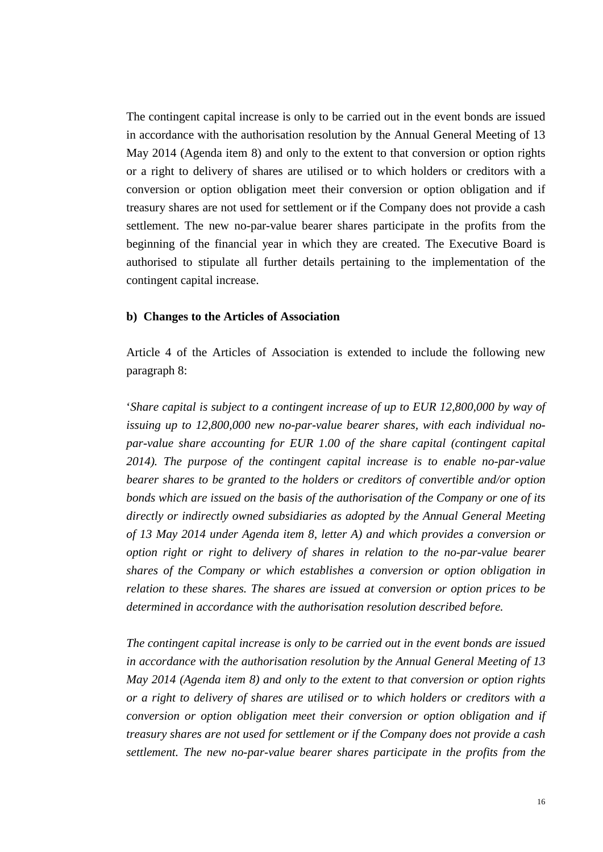The contingent capital increase is only to be carried out in the event bonds are issued in accordance with the authorisation resolution by the Annual General Meeting of 13 May 2014 (Agenda item 8) and only to the extent to that conversion or option rights or a right to delivery of shares are utilised or to which holders or creditors with a conversion or option obligation meet their conversion or option obligation and if treasury shares are not used for settlement or if the Company does not provide a cash settlement. The new no-par-value bearer shares participate in the profits from the beginning of the financial year in which they are created. The Executive Board is authorised to stipulate all further details pertaining to the implementation of the contingent capital increase.

#### **b) Changes to the Articles of Association**

Article 4 of the Articles of Association is extended to include the following new paragraph 8:

'*Share capital is subject to a contingent increase of up to EUR 12,800,000 by way of issuing up to 12,800,000 new no-par-value bearer shares, with each individual nopar-value share accounting for EUR 1.00 of the share capital (contingent capital 2014). The purpose of the contingent capital increase is to enable no-par-value bearer shares to be granted to the holders or creditors of convertible and/or option bonds which are issued on the basis of the authorisation of the Company or one of its directly or indirectly owned subsidiaries as adopted by the Annual General Meeting of 13 May 2014 under Agenda item 8, letter A) and which provides a conversion or option right or right to delivery of shares in relation to the no-par-value bearer shares of the Company or which establishes a conversion or option obligation in relation to these shares. The shares are issued at conversion or option prices to be determined in accordance with the authorisation resolution described before.*

*The contingent capital increase is only to be carried out in the event bonds are issued in accordance with the authorisation resolution by the Annual General Meeting of 13 May 2014 (Agenda item 8) and only to the extent to that conversion or option rights or a right to delivery of shares are utilised or to which holders or creditors with a conversion or option obligation meet their conversion or option obligation and if treasury shares are not used for settlement or if the Company does not provide a cash settlement. The new no-par-value bearer shares participate in the profits from the*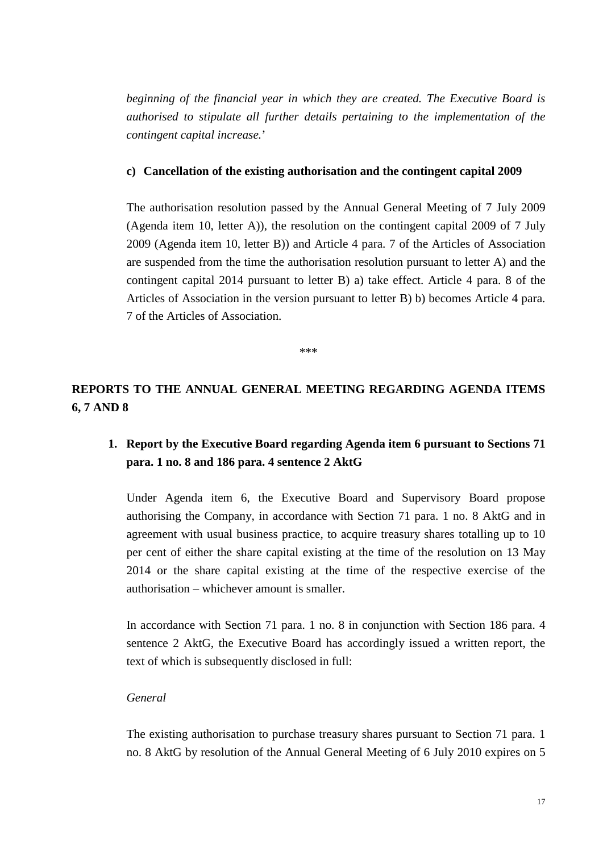*beginning of the financial year in which they are created. The Executive Board is authorised to stipulate all further details pertaining to the implementation of the contingent capital increase.*'

### **c) Cancellation of the existing authorisation and the contingent capital 2009**

The authorisation resolution passed by the Annual General Meeting of 7 July 2009 (Agenda item 10, letter A)), the resolution on the contingent capital 2009 of 7 July 2009 (Agenda item 10, letter B)) and Article 4 para. 7 of the Articles of Association are suspended from the time the authorisation resolution pursuant to letter A) and the contingent capital 2014 pursuant to letter B) a) take effect. Article 4 para. 8 of the Articles of Association in the version pursuant to letter B) b) becomes Article 4 para. 7 of the Articles of Association.

\*\*\*

**REPORTS TO THE ANNUAL GENERAL MEETING REGARDING AGENDA ITEMS 6, 7 AND 8**

## **1. Report by the Executive Board regarding Agenda item 6 pursuant to Sections 71 para. 1 no. 8 and 186 para. 4 sentence 2 AktG**

Under Agenda item 6, the Executive Board and Supervisory Board propose authorising the Company, in accordance with Section 71 para. 1 no. 8 AktG and in agreement with usual business practice, to acquire treasury shares totalling up to 10 per cent of either the share capital existing at the time of the resolution on 13 May 2014 or the share capital existing at the time of the respective exercise of the authorisation – whichever amount is smaller.

In accordance with Section 71 para. 1 no. 8 in conjunction with Section 186 para. 4 sentence 2 AktG, the Executive Board has accordingly issued a written report, the text of which is subsequently disclosed in full:

#### *General*

The existing authorisation to purchase treasury shares pursuant to Section 71 para. 1 no. 8 AktG by resolution of the Annual General Meeting of 6 July 2010 expires on 5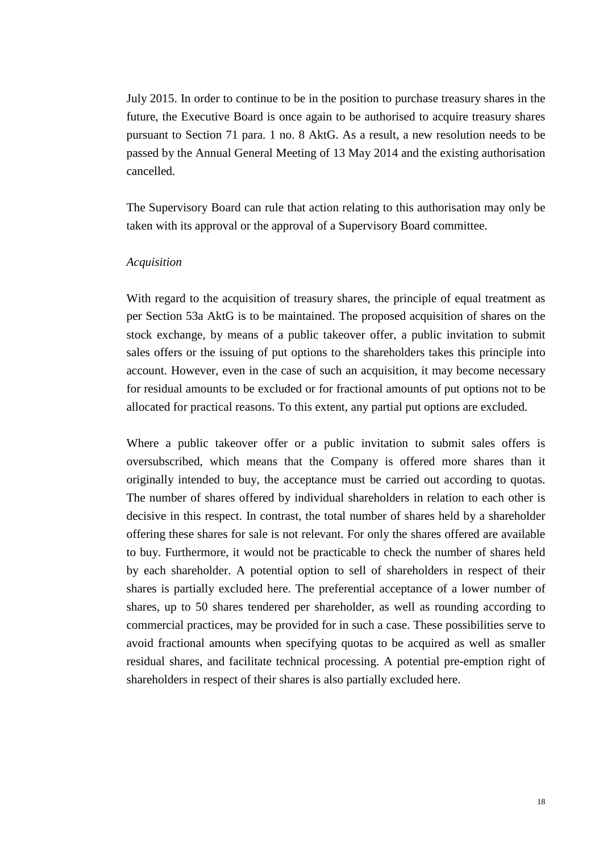July 2015. In order to continue to be in the position to purchase treasury shares in the future, the Executive Board is once again to be authorised to acquire treasury shares pursuant to Section 71 para. 1 no. 8 AktG. As a result, a new resolution needs to be passed by the Annual General Meeting of 13 May 2014 and the existing authorisation cancelled.

The Supervisory Board can rule that action relating to this authorisation may only be taken with its approval or the approval of a Supervisory Board committee.

#### *Acquisition*

With regard to the acquisition of treasury shares, the principle of equal treatment as per Section 53a AktG is to be maintained. The proposed acquisition of shares on the stock exchange, by means of a public takeover offer, a public invitation to submit sales offers or the issuing of put options to the shareholders takes this principle into account. However, even in the case of such an acquisition, it may become necessary for residual amounts to be excluded or for fractional amounts of put options not to be allocated for practical reasons. To this extent, any partial put options are excluded.

Where a public takeover offer or a public invitation to submit sales offers is oversubscribed, which means that the Company is offered more shares than it originally intended to buy, the acceptance must be carried out according to quotas. The number of shares offered by individual shareholders in relation to each other is decisive in this respect. In contrast, the total number of shares held by a shareholder offering these shares for sale is not relevant. For only the shares offered are available to buy. Furthermore, it would not be practicable to check the number of shares held by each shareholder. A potential option to sell of shareholders in respect of their shares is partially excluded here. The preferential acceptance of a lower number of shares, up to 50 shares tendered per shareholder, as well as rounding according to commercial practices, may be provided for in such a case. These possibilities serve to avoid fractional amounts when specifying quotas to be acquired as well as smaller residual shares, and facilitate technical processing. A potential pre-emption right of shareholders in respect of their shares is also partially excluded here.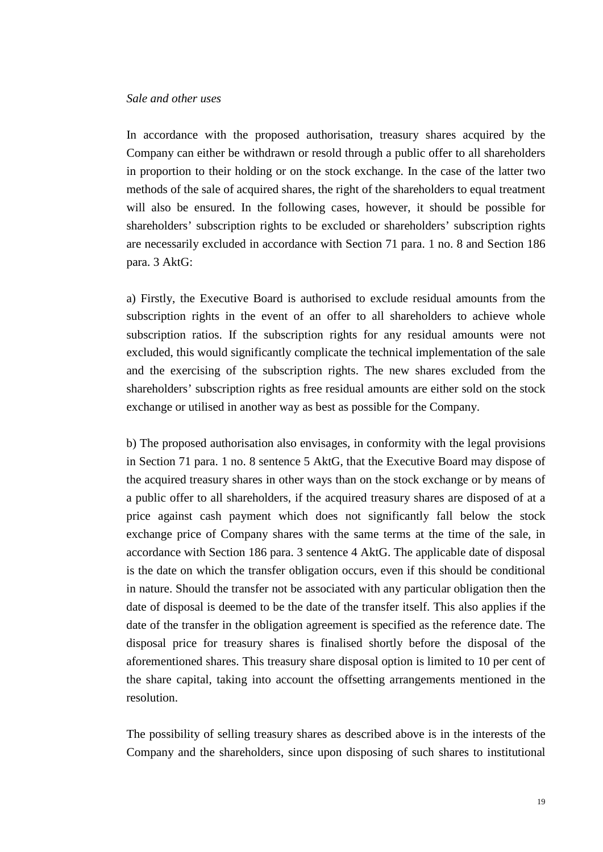#### *Sale and other uses*

In accordance with the proposed authorisation, treasury shares acquired by the Company can either be withdrawn or resold through a public offer to all shareholders in proportion to their holding or on the stock exchange. In the case of the latter two methods of the sale of acquired shares, the right of the shareholders to equal treatment will also be ensured. In the following cases, however, it should be possible for shareholders' subscription rights to be excluded or shareholders' subscription rights are necessarily excluded in accordance with Section 71 para. 1 no. 8 and Section 186 para. 3 AktG:

a) Firstly, the Executive Board is authorised to exclude residual amounts from the subscription rights in the event of an offer to all shareholders to achieve whole subscription ratios. If the subscription rights for any residual amounts were not excluded, this would significantly complicate the technical implementation of the sale and the exercising of the subscription rights. The new shares excluded from the shareholders' subscription rights as free residual amounts are either sold on the stock exchange or utilised in another way as best as possible for the Company.

b) The proposed authorisation also envisages, in conformity with the legal provisions in Section 71 para. 1 no. 8 sentence 5 AktG, that the Executive Board may dispose of the acquired treasury shares in other ways than on the stock exchange or by means of a public offer to all shareholders, if the acquired treasury shares are disposed of at a price against cash payment which does not significantly fall below the stock exchange price of Company shares with the same terms at the time of the sale, in accordance with Section 186 para. 3 sentence 4 AktG. The applicable date of disposal is the date on which the transfer obligation occurs, even if this should be conditional in nature. Should the transfer not be associated with any particular obligation then the date of disposal is deemed to be the date of the transfer itself. This also applies if the date of the transfer in the obligation agreement is specified as the reference date. The disposal price for treasury shares is finalised shortly before the disposal of the aforementioned shares. This treasury share disposal option is limited to 10 per cent of the share capital, taking into account the offsetting arrangements mentioned in the resolution.

The possibility of selling treasury shares as described above is in the interests of the Company and the shareholders, since upon disposing of such shares to institutional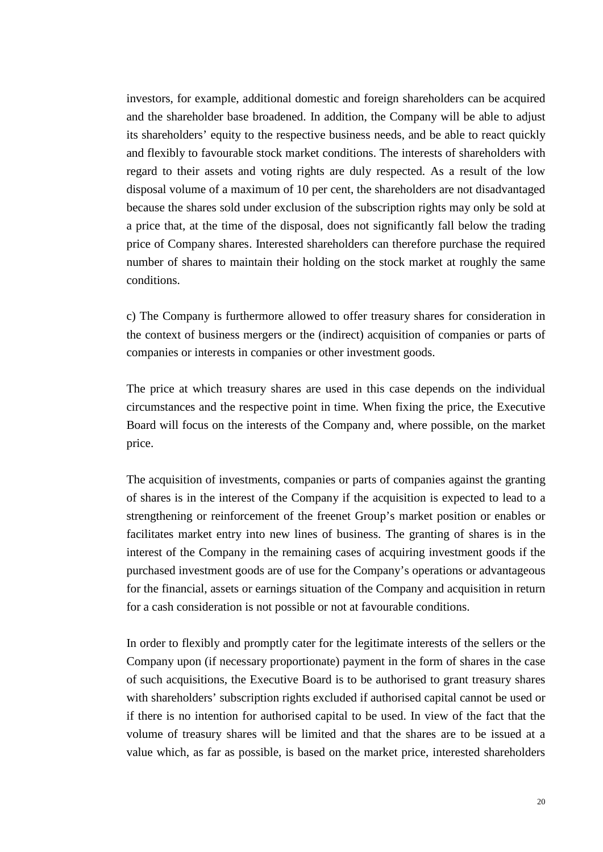investors, for example, additional domestic and foreign shareholders can be acquired and the shareholder base broadened. In addition, the Company will be able to adjust its shareholders' equity to the respective business needs, and be able to react quickly and flexibly to favourable stock market conditions. The interests of shareholders with regard to their assets and voting rights are duly respected. As a result of the low disposal volume of a maximum of 10 per cent, the shareholders are not disadvantaged because the shares sold under exclusion of the subscription rights may only be sold at a price that, at the time of the disposal, does not significantly fall below the trading price of Company shares. Interested shareholders can therefore purchase the required number of shares to maintain their holding on the stock market at roughly the same conditions.

c) The Company is furthermore allowed to offer treasury shares for consideration in the context of business mergers or the (indirect) acquisition of companies or parts of companies or interests in companies or other investment goods.

The price at which treasury shares are used in this case depends on the individual circumstances and the respective point in time. When fixing the price, the Executive Board will focus on the interests of the Company and, where possible, on the market price.

The acquisition of investments, companies or parts of companies against the granting of shares is in the interest of the Company if the acquisition is expected to lead to a strengthening or reinforcement of the freenet Group's market position or enables or facilitates market entry into new lines of business. The granting of shares is in the interest of the Company in the remaining cases of acquiring investment goods if the purchased investment goods are of use for the Company's operations or advantageous for the financial, assets or earnings situation of the Company and acquisition in return for a cash consideration is not possible or not at favourable conditions.

In order to flexibly and promptly cater for the legitimate interests of the sellers or the Company upon (if necessary proportionate) payment in the form of shares in the case of such acquisitions, the Executive Board is to be authorised to grant treasury shares with shareholders' subscription rights excluded if authorised capital cannot be used or if there is no intention for authorised capital to be used. In view of the fact that the volume of treasury shares will be limited and that the shares are to be issued at a value which, as far as possible, is based on the market price, interested shareholders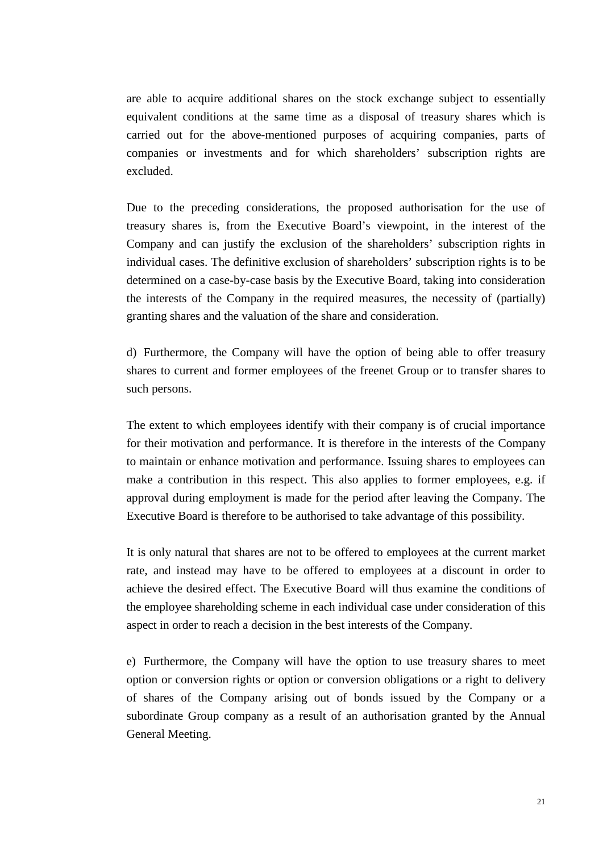are able to acquire additional shares on the stock exchange subject to essentially equivalent conditions at the same time as a disposal of treasury shares which is carried out for the above-mentioned purposes of acquiring companies, parts of companies or investments and for which shareholders' subscription rights are excluded.

Due to the preceding considerations, the proposed authorisation for the use of treasury shares is, from the Executive Board's viewpoint, in the interest of the Company and can justify the exclusion of the shareholders' subscription rights in individual cases. The definitive exclusion of shareholders' subscription rights is to be determined on a case-by-case basis by the Executive Board, taking into consideration the interests of the Company in the required measures, the necessity of (partially) granting shares and the valuation of the share and consideration.

d) Furthermore, the Company will have the option of being able to offer treasury shares to current and former employees of the freenet Group or to transfer shares to such persons.

The extent to which employees identify with their company is of crucial importance for their motivation and performance. It is therefore in the interests of the Company to maintain or enhance motivation and performance. Issuing shares to employees can make a contribution in this respect. This also applies to former employees, e.g. if approval during employment is made for the period after leaving the Company. The Executive Board is therefore to be authorised to take advantage of this possibility.

It is only natural that shares are not to be offered to employees at the current market rate, and instead may have to be offered to employees at a discount in order to achieve the desired effect. The Executive Board will thus examine the conditions of the employee shareholding scheme in each individual case under consideration of this aspect in order to reach a decision in the best interests of the Company.

e) Furthermore, the Company will have the option to use treasury shares to meet option or conversion rights or option or conversion obligations or a right to delivery of shares of the Company arising out of bonds issued by the Company or a subordinate Group company as a result of an authorisation granted by the Annual General Meeting.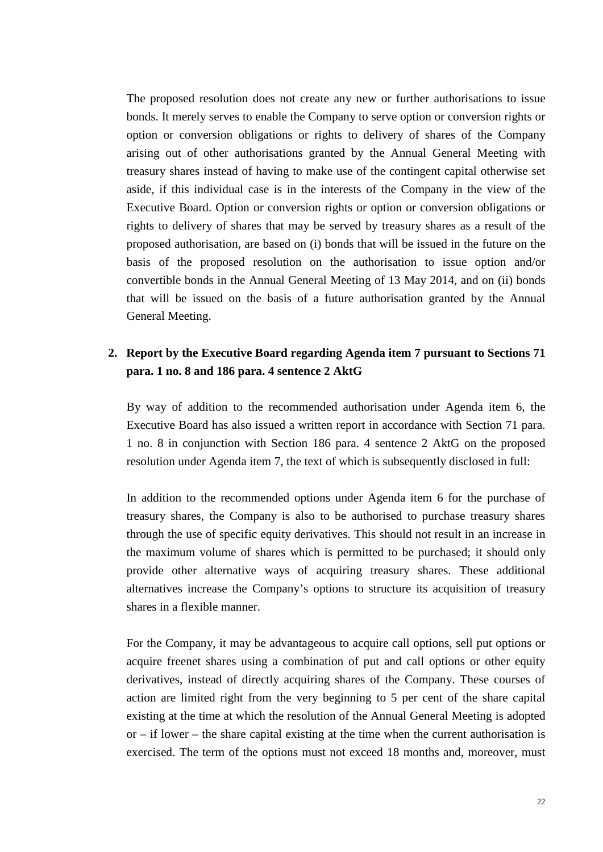The proposed resolution does not create any new or further authorisations to issue bonds. It merely serves to enable the Company to serve option or conversion rights or option or conversion obligations or rights to delivery of shares of the Company arising out of other authorisations granted by the Annual General Meeting with treasury shares instead of having to make use of the contingent capital otherwise set aside, if this individual case is in the interests of the Company in the view of the Executive Board. Option or conversion rights or option or conversion obligations or rights to delivery of shares that may be served by treasury shares as a result of the proposed authorisation, are based on (i) bonds that will be issued in the future on the basis of the proposed resolution on the authorisation to issue option and/or convertible bonds in the Annual General Meeting of 13 May 2014, and on (ii) bonds that will be issued on the basis of a future authorisation granted by the Annual General Meeting.

## **2. Report by the Executive Board regarding Agenda item 7 pursuant to Sections 71 para. 1 no. 8 and 186 para. 4 sentence 2 AktG**

By way of addition to the recommended authorisation under Agenda item 6, the Executive Board has also issued a written report in accordance with Section 71 para. 1 no. 8 in conjunction with Section 186 para. 4 sentence 2 AktG on the proposed resolution under Agenda item 7, the text of which is subsequently disclosed in full:

In addition to the recommended options under Agenda item 6 for the purchase of treasury shares, the Company is also to be authorised to purchase treasury shares through the use of specific equity derivatives. This should not result in an increase in the maximum volume of shares which is permitted to be purchased; it should only provide other alternative ways of acquiring treasury shares. These additional alternatives increase the Company's options to structure its acquisition of treasury shares in a flexible manner.

For the Company, it may be advantageous to acquire call options, sell put options or acquire freenet shares using a combination of put and call options or other equity derivatives, instead of directly acquiring shares of the Company. These courses of action are limited right from the very beginning to 5 per cent of the share capital existing at the time at which the resolution of the Annual General Meeting is adopted or – if lower – the share capital existing at the time when the current authorisation is exercised. The term of the options must not exceed 18 months and, moreover, must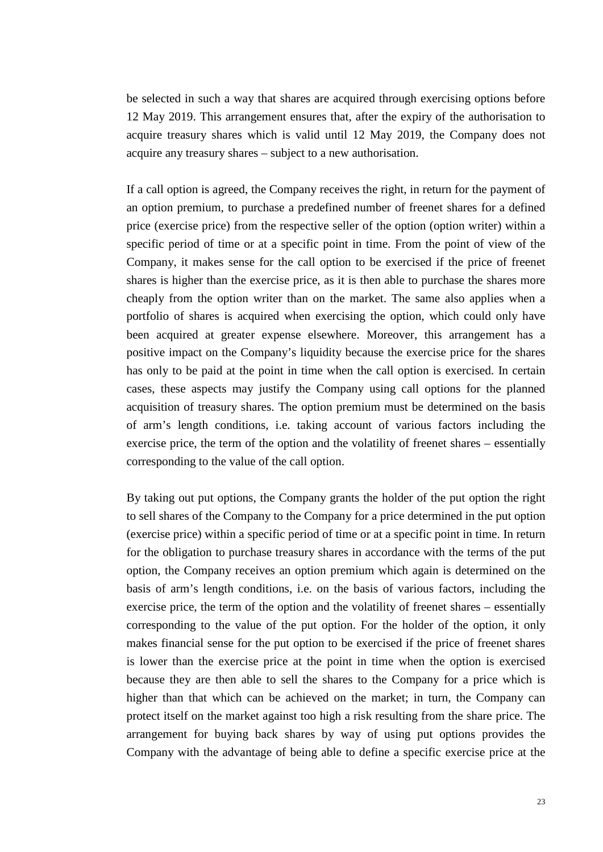be selected in such a way that shares are acquired through exercising options before 12 May 2019. This arrangement ensures that, after the expiry of the authorisation to acquire treasury shares which is valid until 12 May 2019, the Company does not acquire any treasury shares – subject to a new authorisation.

If a call option is agreed, the Company receives the right, in return for the payment of an option premium, to purchase a predefined number of freenet shares for a defined price (exercise price) from the respective seller of the option (option writer) within a specific period of time or at a specific point in time. From the point of view of the Company, it makes sense for the call option to be exercised if the price of freenet shares is higher than the exercise price, as it is then able to purchase the shares more cheaply from the option writer than on the market. The same also applies when a portfolio of shares is acquired when exercising the option, which could only have been acquired at greater expense elsewhere. Moreover, this arrangement has a positive impact on the Company's liquidity because the exercise price for the shares has only to be paid at the point in time when the call option is exercised. In certain cases, these aspects may justify the Company using call options for the planned acquisition of treasury shares. The option premium must be determined on the basis of arm's length conditions, i.e. taking account of various factors including the exercise price, the term of the option and the volatility of freenet shares – essentially corresponding to the value of the call option.

By taking out put options, the Company grants the holder of the put option the right to sell shares of the Company to the Company for a price determined in the put option (exercise price) within a specific period of time or at a specific point in time. In return for the obligation to purchase treasury shares in accordance with the terms of the put option, the Company receives an option premium which again is determined on the basis of arm's length conditions, i.e. on the basis of various factors, including the exercise price, the term of the option and the volatility of freenet shares – essentially corresponding to the value of the put option. For the holder of the option, it only makes financial sense for the put option to be exercised if the price of freenet shares is lower than the exercise price at the point in time when the option is exercised because they are then able to sell the shares to the Company for a price which is higher than that which can be achieved on the market; in turn, the Company can protect itself on the market against too high a risk resulting from the share price. The arrangement for buying back shares by way of using put options provides the Company with the advantage of being able to define a specific exercise price at the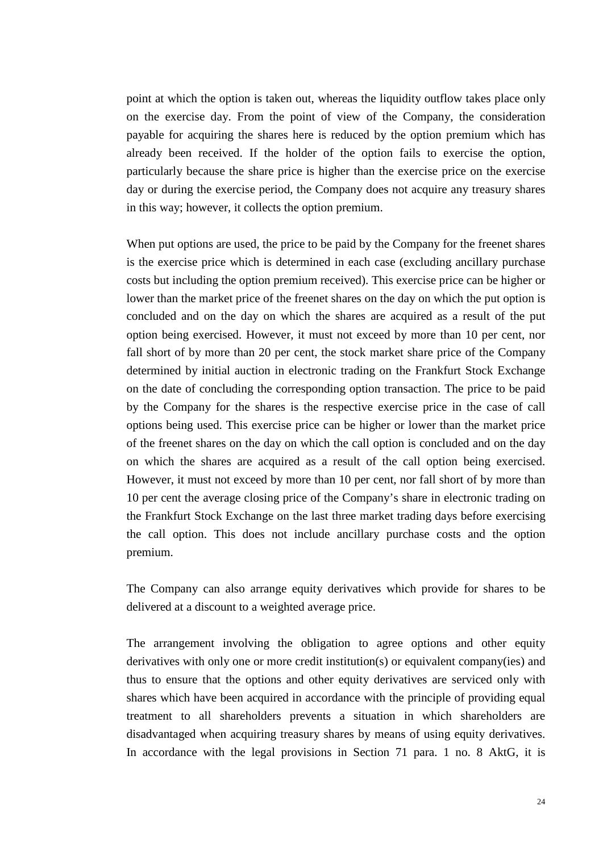point at which the option is taken out, whereas the liquidity outflow takes place only on the exercise day. From the point of view of the Company, the consideration payable for acquiring the shares here is reduced by the option premium which has already been received. If the holder of the option fails to exercise the option, particularly because the share price is higher than the exercise price on the exercise day or during the exercise period, the Company does not acquire any treasury shares in this way; however, it collects the option premium.

When put options are used, the price to be paid by the Company for the freenet shares is the exercise price which is determined in each case (excluding ancillary purchase costs but including the option premium received). This exercise price can be higher or lower than the market price of the freenet shares on the day on which the put option is concluded and on the day on which the shares are acquired as a result of the put option being exercised. However, it must not exceed by more than 10 per cent, nor fall short of by more than 20 per cent, the stock market share price of the Company determined by initial auction in electronic trading on the Frankfurt Stock Exchange on the date of concluding the corresponding option transaction. The price to be paid by the Company for the shares is the respective exercise price in the case of call options being used. This exercise price can be higher or lower than the market price of the freenet shares on the day on which the call option is concluded and on the day on which the shares are acquired as a result of the call option being exercised. However, it must not exceed by more than 10 per cent, nor fall short of by more than 10 per cent the average closing price of the Company's share in electronic trading on the Frankfurt Stock Exchange on the last three market trading days before exercising the call option. This does not include ancillary purchase costs and the option premium.

The Company can also arrange equity derivatives which provide for shares to be delivered at a discount to a weighted average price.

The arrangement involving the obligation to agree options and other equity derivatives with only one or more credit institution(s) or equivalent company(ies) and thus to ensure that the options and other equity derivatives are serviced only with shares which have been acquired in accordance with the principle of providing equal treatment to all shareholders prevents a situation in which shareholders are disadvantaged when acquiring treasury shares by means of using equity derivatives. In accordance with the legal provisions in Section 71 para. 1 no. 8 AktG, it is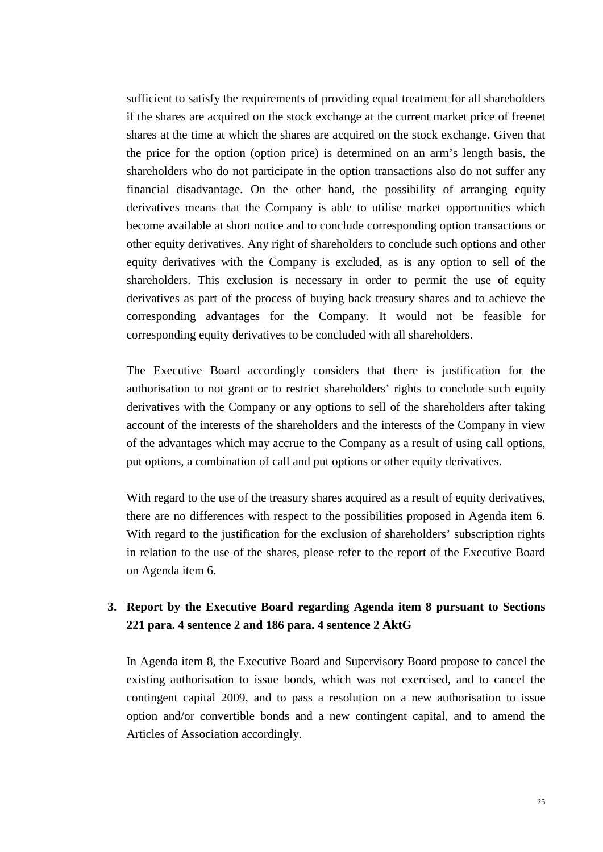sufficient to satisfy the requirements of providing equal treatment for all shareholders if the shares are acquired on the stock exchange at the current market price of freenet shares at the time at which the shares are acquired on the stock exchange. Given that the price for the option (option price) is determined on an arm's length basis, the shareholders who do not participate in the option transactions also do not suffer any financial disadvantage. On the other hand, the possibility of arranging equity derivatives means that the Company is able to utilise market opportunities which become available at short notice and to conclude corresponding option transactions or other equity derivatives. Any right of shareholders to conclude such options and other equity derivatives with the Company is excluded, as is any option to sell of the shareholders. This exclusion is necessary in order to permit the use of equity derivatives as part of the process of buying back treasury shares and to achieve the corresponding advantages for the Company. It would not be feasible for corresponding equity derivatives to be concluded with all shareholders.

The Executive Board accordingly considers that there is justification for the authorisation to not grant or to restrict shareholders' rights to conclude such equity derivatives with the Company or any options to sell of the shareholders after taking account of the interests of the shareholders and the interests of the Company in view of the advantages which may accrue to the Company as a result of using call options, put options, a combination of call and put options or other equity derivatives.

With regard to the use of the treasury shares acquired as a result of equity derivatives, there are no differences with respect to the possibilities proposed in Agenda item 6. With regard to the justification for the exclusion of shareholders' subscription rights in relation to the use of the shares, please refer to the report of the Executive Board on Agenda item 6.

## **3. Report by the Executive Board regarding Agenda item 8 pursuant to Sections 221 para. 4 sentence 2 and 186 para. 4 sentence 2 AktG**

In Agenda item 8, the Executive Board and Supervisory Board propose to cancel the existing authorisation to issue bonds, which was not exercised, and to cancel the contingent capital 2009, and to pass a resolution on a new authorisation to issue option and/or convertible bonds and a new contingent capital, and to amend the Articles of Association accordingly.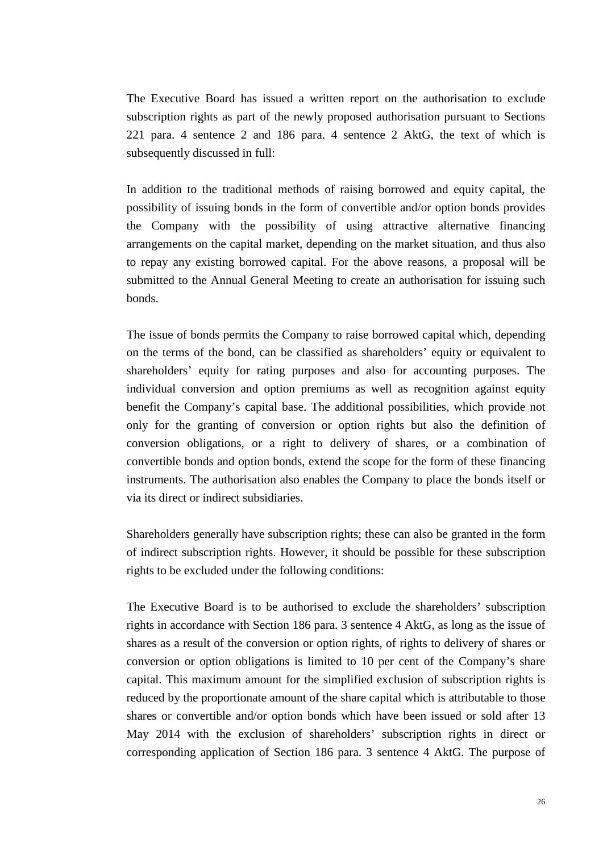The Executive Board has issued a written report on the authorisation to exclude subscription rights as part of the newly proposed authorisation pursuant to Sections 221 para. 4 sentence 2 and 186 para. 4 sentence 2 AktG, the text of which is subsequently discussed in full:

In addition to the traditional methods of raising borrowed and equity capital, the possibility of issuing bonds in the form of convertible and/or option bonds provides the Company with the possibility of using attractive alternative financing arrangements on the capital market, depending on the market situation, and thus also to repay any existing borrowed capital. For the above reasons, a proposal will be submitted to the Annual General Meeting to create an authorisation for issuing such bonds.

The issue of bonds permits the Company to raise borrowed capital which, depending on the terms of the bond, can be classified as shareholders' equity or equivalent to shareholders' equity for rating purposes and also for accounting purposes. The individual conversion and option premiums as well as recognition against equity benefit the Company's capital base. The additional possibilities, which provide not only for the granting of conversion or option rights but also the definition of conversion obligations, or a right to delivery of shares, or a combination of convertible bonds and option bonds, extend the scope for the form of these financing instruments. The authorisation also enables the Company to place the bonds itself or via its direct or indirect subsidiaries.

Shareholders generally have subscription rights; these can also be granted in the form of indirect subscription rights. However, it should be possible for these subscription rights to be excluded under the following conditions:

The Executive Board is to be authorised to exclude the shareholders' subscription rights in accordance with Section 186 para. 3 sentence 4 AktG, as long as the issue of shares as a result of the conversion or option rights, of rights to delivery of shares or conversion or option obligations is limited to 10 per cent of the Company's share capital. This maximum amount for the simplified exclusion of subscription rights is reduced by the proportionate amount of the share capital which is attributable to those shares or convertible and/or option bonds which have been issued or sold after 13 May 2014 with the exclusion of shareholders' subscription rights in direct or corresponding application of Section 186 para. 3 sentence 4 AktG. The purpose of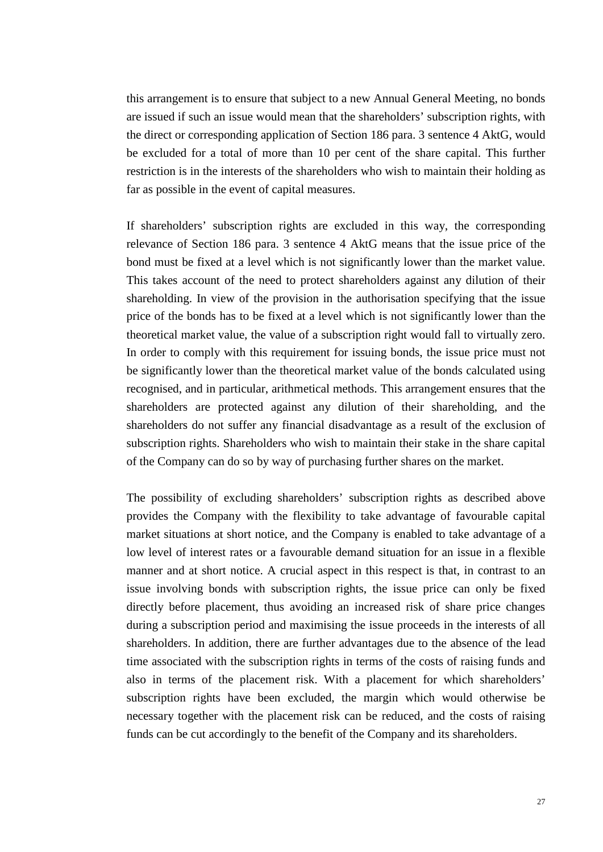this arrangement is to ensure that subject to a new Annual General Meeting, no bonds are issued if such an issue would mean that the shareholders' subscription rights, with the direct or corresponding application of Section 186 para. 3 sentence 4 AktG, would be excluded for a total of more than 10 per cent of the share capital. This further restriction is in the interests of the shareholders who wish to maintain their holding as far as possible in the event of capital measures.

If shareholders' subscription rights are excluded in this way, the corresponding relevance of Section 186 para. 3 sentence 4 AktG means that the issue price of the bond must be fixed at a level which is not significantly lower than the market value. This takes account of the need to protect shareholders against any dilution of their shareholding. In view of the provision in the authorisation specifying that the issue price of the bonds has to be fixed at a level which is not significantly lower than the theoretical market value, the value of a subscription right would fall to virtually zero. In order to comply with this requirement for issuing bonds, the issue price must not be significantly lower than the theoretical market value of the bonds calculated using recognised, and in particular, arithmetical methods. This arrangement ensures that the shareholders are protected against any dilution of their shareholding, and the shareholders do not suffer any financial disadvantage as a result of the exclusion of subscription rights. Shareholders who wish to maintain their stake in the share capital of the Company can do so by way of purchasing further shares on the market.

The possibility of excluding shareholders' subscription rights as described above provides the Company with the flexibility to take advantage of favourable capital market situations at short notice, and the Company is enabled to take advantage of a low level of interest rates or a favourable demand situation for an issue in a flexible manner and at short notice. A crucial aspect in this respect is that, in contrast to an issue involving bonds with subscription rights, the issue price can only be fixed directly before placement, thus avoiding an increased risk of share price changes during a subscription period and maximising the issue proceeds in the interests of all shareholders. In addition, there are further advantages due to the absence of the lead time associated with the subscription rights in terms of the costs of raising funds and also in terms of the placement risk. With a placement for which shareholders' subscription rights have been excluded, the margin which would otherwise be necessary together with the placement risk can be reduced, and the costs of raising funds can be cut accordingly to the benefit of the Company and its shareholders.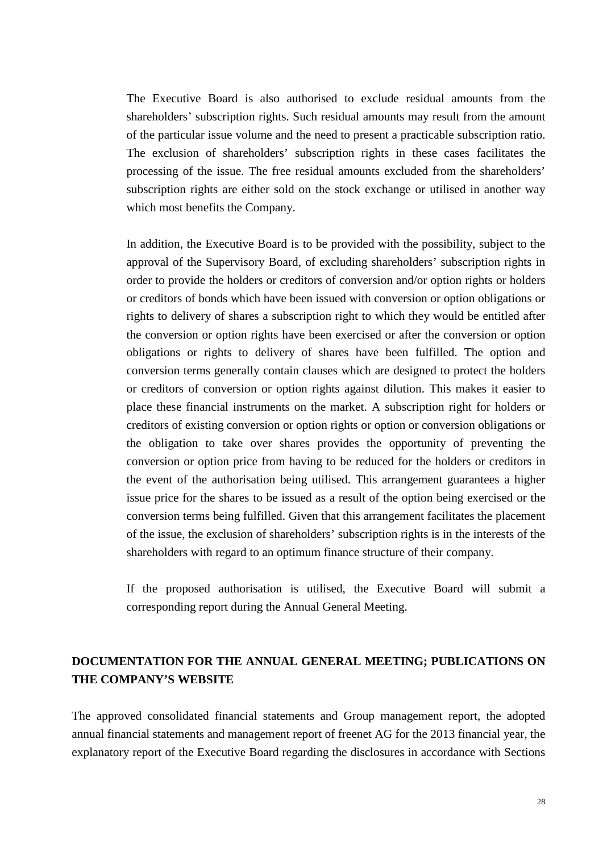The Executive Board is also authorised to exclude residual amounts from the shareholders' subscription rights. Such residual amounts may result from the amount of the particular issue volume and the need to present a practicable subscription ratio. The exclusion of shareholders' subscription rights in these cases facilitates the processing of the issue. The free residual amounts excluded from the shareholders' subscription rights are either sold on the stock exchange or utilised in another way which most benefits the Company.

In addition, the Executive Board is to be provided with the possibility, subject to the approval of the Supervisory Board, of excluding shareholders' subscription rights in order to provide the holders or creditors of conversion and/or option rights or holders or creditors of bonds which have been issued with conversion or option obligations or rights to delivery of shares a subscription right to which they would be entitled after the conversion or option rights have been exercised or after the conversion or option obligations or rights to delivery of shares have been fulfilled. The option and conversion terms generally contain clauses which are designed to protect the holders or creditors of conversion or option rights against dilution. This makes it easier to place these financial instruments on the market. A subscription right for holders or creditors of existing conversion or option rights or option or conversion obligations or the obligation to take over shares provides the opportunity of preventing the conversion or option price from having to be reduced for the holders or creditors in the event of the authorisation being utilised. This arrangement guarantees a higher issue price for the shares to be issued as a result of the option being exercised or the conversion terms being fulfilled. Given that this arrangement facilitates the placement of the issue, the exclusion of shareholders' subscription rights is in the interests of the shareholders with regard to an optimum finance structure of their company.

If the proposed authorisation is utilised, the Executive Board will submit a corresponding report during the Annual General Meeting.

## **DOCUMENTATION FOR THE ANNUAL GENERAL MEETING; PUBLICATIONS ON THE COMPANY'S WEBSITE**

The approved consolidated financial statements and Group management report, the adopted annual financial statements and management report of freenet AG for the 2013 financial year, the explanatory report of the Executive Board regarding the disclosures in accordance with Sections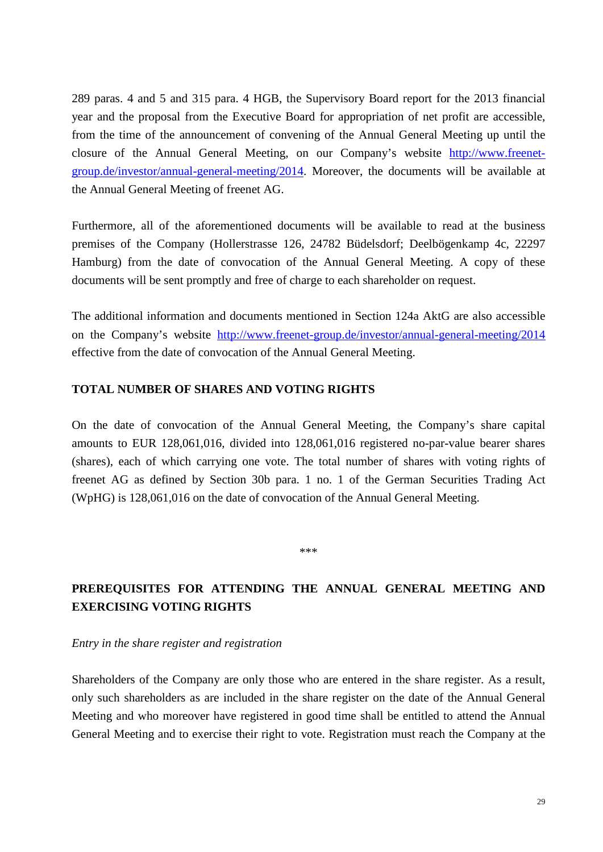289 paras. 4 and 5 and 315 para. 4 HGB, the Supervisory Board report for the 2013 financial year and the proposal from the Executive Board for appropriation of net profit are accessible, from the time of the announcement of convening of the Annual General Meeting up until the closure of the Annual General Meeting, on our Company's website [http://www.freenet](http://www.freenet-group.de/investor/annual-general-meeting/201)[group.de/investor/annual-general-meeting/2014](http://www.freenet-group.de/investor/annual-general-meeting/201). Moreover, the documents will be available at the Annual General Meeting of freenet AG.

Furthermore, all of the aforementioned documents will be available to read at the business premises of the Company (Hollerstrasse 126, 24782 Büdelsdorf; Deelbögenkamp 4c, 22297 Hamburg) from the date of convocation of the Annual General Meeting. A copy of these documents will be sent promptly and free of charge to each shareholder on request.

The additional information and documents mentioned in Section 124a AktG are also accessible on the Company's website [http://www.freenet-group.de/investor/annual-general-meeting/2014](http://www.freenet-group.de/investor-relations/hauptversammlung/2013) effective from the date of convocation of the Annual General Meeting.

### **TOTAL NUMBER OF SHARES AND VOTING RIGHTS**

On the date of convocation of the Annual General Meeting, the Company's share capital amounts to EUR 128,061,016, divided into 128,061,016 registered no-par-value bearer shares (shares), each of which carrying one vote. The total number of shares with voting rights of freenet AG as defined by Section 30b para. 1 no. 1 of the German Securities Trading Act (WpHG) is 128,061,016 on the date of convocation of the Annual General Meeting.

\*\*\*

# **PREREQUISITES FOR ATTENDING THE ANNUAL GENERAL MEETING AND EXERCISING VOTING RIGHTS**

#### *Entry in the share register and registration*

Shareholders of the Company are only those who are entered in the share register. As a result, only such shareholders as are included in the share register on the date of the Annual General Meeting and who moreover have registered in good time shall be entitled to attend the Annual General Meeting and to exercise their right to vote. Registration must reach the Company at the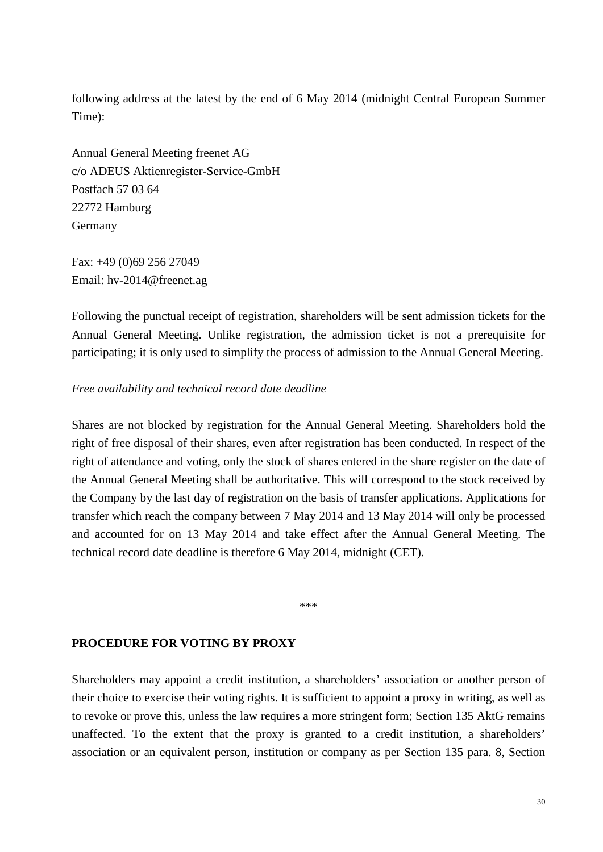following address at the latest by the end of 6 May 2014 (midnight Central European Summer Time):

Annual General Meeting freenet AG c/o ADEUS Aktienregister-Service-GmbH Postfach 57 03 64 22772 Hamburg Germany

Fax: +49 (0)69 256 27049 Email: hv-2014@freenet.ag

Following the punctual receipt of registration, shareholders will be sent admission tickets for the Annual General Meeting. Unlike registration, the admission ticket is not a prerequisite for participating; it is only used to simplify the process of admission to the Annual General Meeting.

### *Free availability and technical record date deadline*

Shares are not blocked by registration for the Annual General Meeting. Shareholders hold the right of free disposal of their shares, even after registration has been conducted. In respect of the right of attendance and voting, only the stock of shares entered in the share register on the date of the Annual General Meeting shall be authoritative. This will correspond to the stock received by the Company by the last day of registration on the basis of transfer applications. Applications for transfer which reach the company between 7 May 2014 and 13 May 2014 will only be processed and accounted for on 13 May 2014 and take effect after the Annual General Meeting. The technical record date deadline is therefore 6 May 2014, midnight (CET).

\*\*\*

#### **PROCEDURE FOR VOTING BY PROXY**

Shareholders may appoint a credit institution, a shareholders' association or another person of their choice to exercise their voting rights. It is sufficient to appoint a proxy in writing, as well as to revoke or prove this, unless the law requires a more stringent form; Section 135 AktG remains unaffected. To the extent that the proxy is granted to a credit institution, a shareholders' association or an equivalent person, institution or company as per Section 135 para. 8, Section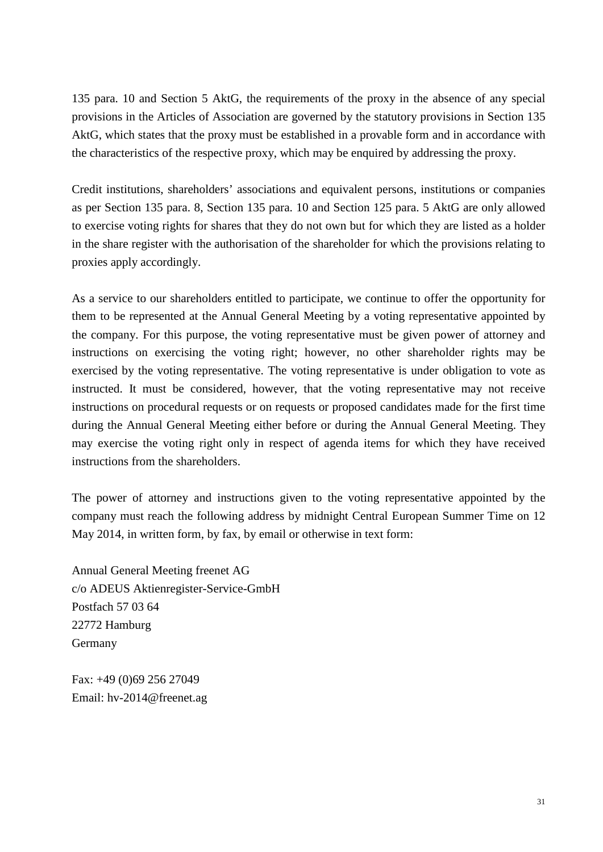135 para. 10 and Section 5 AktG, the requirements of the proxy in the absence of any special provisions in the Articles of Association are governed by the statutory provisions in Section 135 AktG, which states that the proxy must be established in a provable form and in accordance with the characteristics of the respective proxy, which may be enquired by addressing the proxy.

Credit institutions, shareholders' associations and equivalent persons, institutions or companies as per Section 135 para. 8, Section 135 para. 10 and Section 125 para. 5 AktG are only allowed to exercise voting rights for shares that they do not own but for which they are listed as a holder in the share register with the authorisation of the shareholder for which the provisions relating to proxies apply accordingly.

As a service to our shareholders entitled to participate, we continue to offer the opportunity for them to be represented at the Annual General Meeting by a voting representative appointed by the company. For this purpose, the voting representative must be given power of attorney and instructions on exercising the voting right; however, no other shareholder rights may be exercised by the voting representative. The voting representative is under obligation to vote as instructed. It must be considered, however, that the voting representative may not receive instructions on procedural requests or on requests or proposed candidates made for the first time during the Annual General Meeting either before or during the Annual General Meeting. They may exercise the voting right only in respect of agenda items for which they have received instructions from the shareholders.

The power of attorney and instructions given to the voting representative appointed by the company must reach the following address by midnight Central European Summer Time on 12 May 2014, in written form, by fax, by email or otherwise in text form:

Annual General Meeting freenet AG c/o ADEUS Aktienregister-Service-GmbH Postfach 57 03 64 22772 Hamburg Germany

Fax: +49 (0)69 256 27049 Email: hv-2014@freenet.ag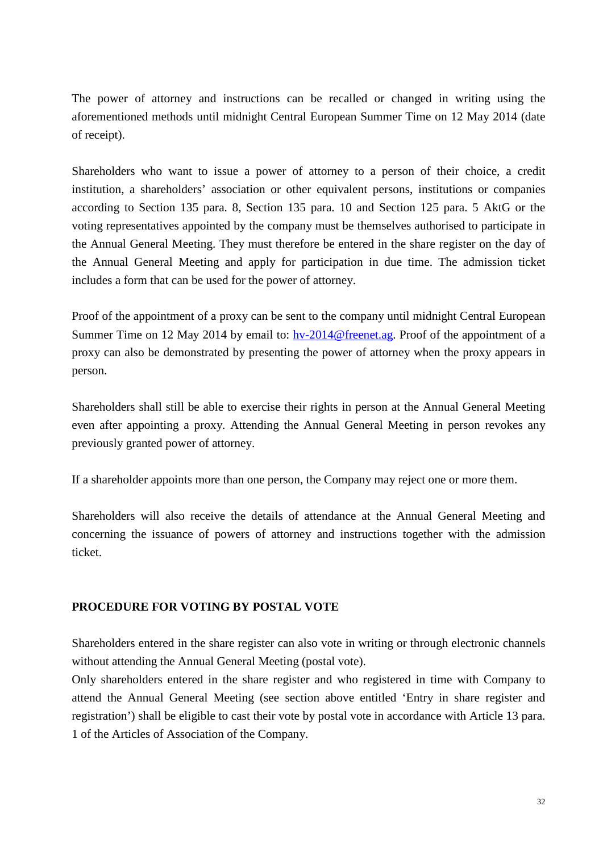The power of attorney and instructions can be recalled or changed in writing using the aforementioned methods until midnight Central European Summer Time on 12 May 2014 (date of receipt).

Shareholders who want to issue a power of attorney to a person of their choice, a credit institution, a shareholders' association or other equivalent persons, institutions or companies according to Section 135 para. 8, Section 135 para. 10 and Section 125 para. 5 AktG or the voting representatives appointed by the company must be themselves authorised to participate in the Annual General Meeting. They must therefore be entered in the share register on the day of the Annual General Meeting and apply for participation in due time. The admission ticket includes a form that can be used for the power of attorney.

Proof of the appointment of a proxy can be sent to the company until midnight Central European Summer Time on 12 May 2014 by email to: [hv-2014@freenet.ag.](mailto:hv-2014@freenet.ag) Proof of the appointment of a proxy can also be demonstrated by presenting the power of attorney when the proxy appears in person.

Shareholders shall still be able to exercise their rights in person at the Annual General Meeting even after appointing a proxy. Attending the Annual General Meeting in person revokes any previously granted power of attorney.

If a shareholder appoints more than one person, the Company may reject one or more them.

Shareholders will also receive the details of attendance at the Annual General Meeting and concerning the issuance of powers of attorney and instructions together with the admission ticket.

### **PROCEDURE FOR VOTING BY POSTAL VOTE**

Shareholders entered in the share register can also vote in writing or through electronic channels without attending the Annual General Meeting (postal vote).

Only shareholders entered in the share register and who registered in time with Company to attend the Annual General Meeting (see section above entitled 'Entry in share register and registration') shall be eligible to cast their vote by postal vote in accordance with Article 13 para. 1 of the Articles of Association of the Company.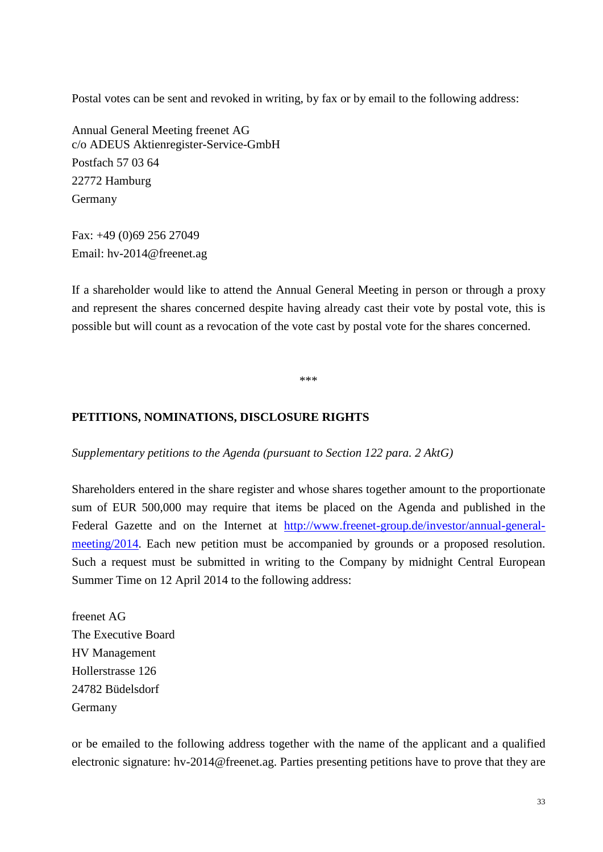Postal votes can be sent and revoked in writing, by fax or by email to the following address:

Annual General Meeting freenet AG c/o ADEUS Aktienregister-Service-GmbH Postfach 57 03 64 22772 Hamburg Germany

Fax: +49 (0)69 256 27049 Email: hv-2014@freenet.ag

If a shareholder would like to attend the Annual General Meeting in person or through a proxy and represent the shares concerned despite having already cast their vote by postal vote, this is possible but will count as a revocation of the vote cast by postal vote for the shares concerned.

\*\*\*

### **PETITIONS, NOMINATIONS, DISCLOSURE RIGHTS**

*Supplementary petitions to the Agenda (pursuant to Section 122 para. 2 AktG)*

Shareholders entered in the share register and whose shares together amount to the proportionate sum of EUR 500,000 may require that items be placed on the Agenda and published in the Federal Gazette and on the Internet at [http://www.freenet-group.de/investor/annual-general](http://www.freenet-group.de/investor/annual-general-meeting/2014)[meeting/2014.](http://www.freenet-group.de/investor/annual-general-meeting/2014) Each new petition must be accompanied by grounds or a proposed resolution. Such a request must be submitted in writing to the Company by midnight Central European Summer Time on 12 April 2014 to the following address:

freenet AG The Executive Board HV Management Hollerstrasse 126 24782 Büdelsdorf Germany

or be emailed to the following address together with the name of the applicant and a qualified electronic signature: hv-2014@freenet.ag. Parties presenting petitions have to prove that they are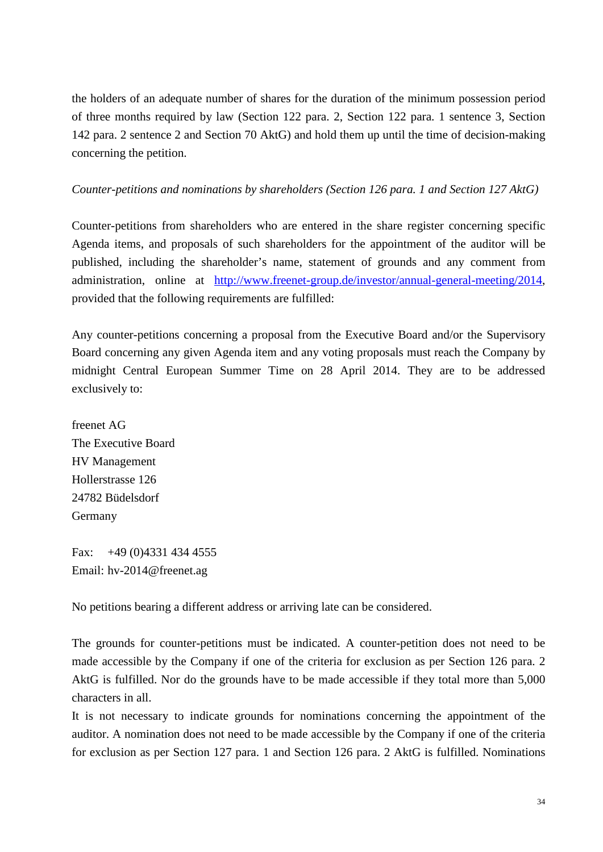the holders of an adequate number of shares for the duration of the minimum possession period of three months required by law (Section 122 para. 2, Section 122 para. 1 sentence 3, Section 142 para. 2 sentence 2 and Section 70 AktG) and hold them up until the time of decision-making concerning the petition.

### *Counter-petitions and nominations by shareholders (Section 126 para. 1 and Section 127 AktG)*

Counter-petitions from shareholders who are entered in the share register concerning specific Agenda items, and proposals of such shareholders for the appointment of the auditor will be published, including the shareholder's name, statement of grounds and any comment from administration, online at [http://www.freenet-group.de/investor/annual-general-meeting/2014,](http://www.freenet-group.de/investor/annual-general-meeting/2014) provided that the following requirements are fulfilled:

Any counter-petitions concerning a proposal from the Executive Board and/or the Supervisory Board concerning any given Agenda item and any voting proposals must reach the Company by midnight Central European Summer Time on 28 April 2014. They are to be addressed exclusively to:

freenet AG The Executive Board HV Management Hollerstrasse 126 24782 Büdelsdorf Germany

Fax: +49 (0)4331 434 4555 Email: hv-2014@freenet.ag

No petitions bearing a different address or arriving late can be considered.

The grounds for counter-petitions must be indicated. A counter-petition does not need to be made accessible by the Company if one of the criteria for exclusion as per Section 126 para. 2 AktG is fulfilled. Nor do the grounds have to be made accessible if they total more than 5,000 characters in all.

It is not necessary to indicate grounds for nominations concerning the appointment of the auditor. A nomination does not need to be made accessible by the Company if one of the criteria for exclusion as per Section 127 para. 1 and Section 126 para. 2 AktG is fulfilled. Nominations